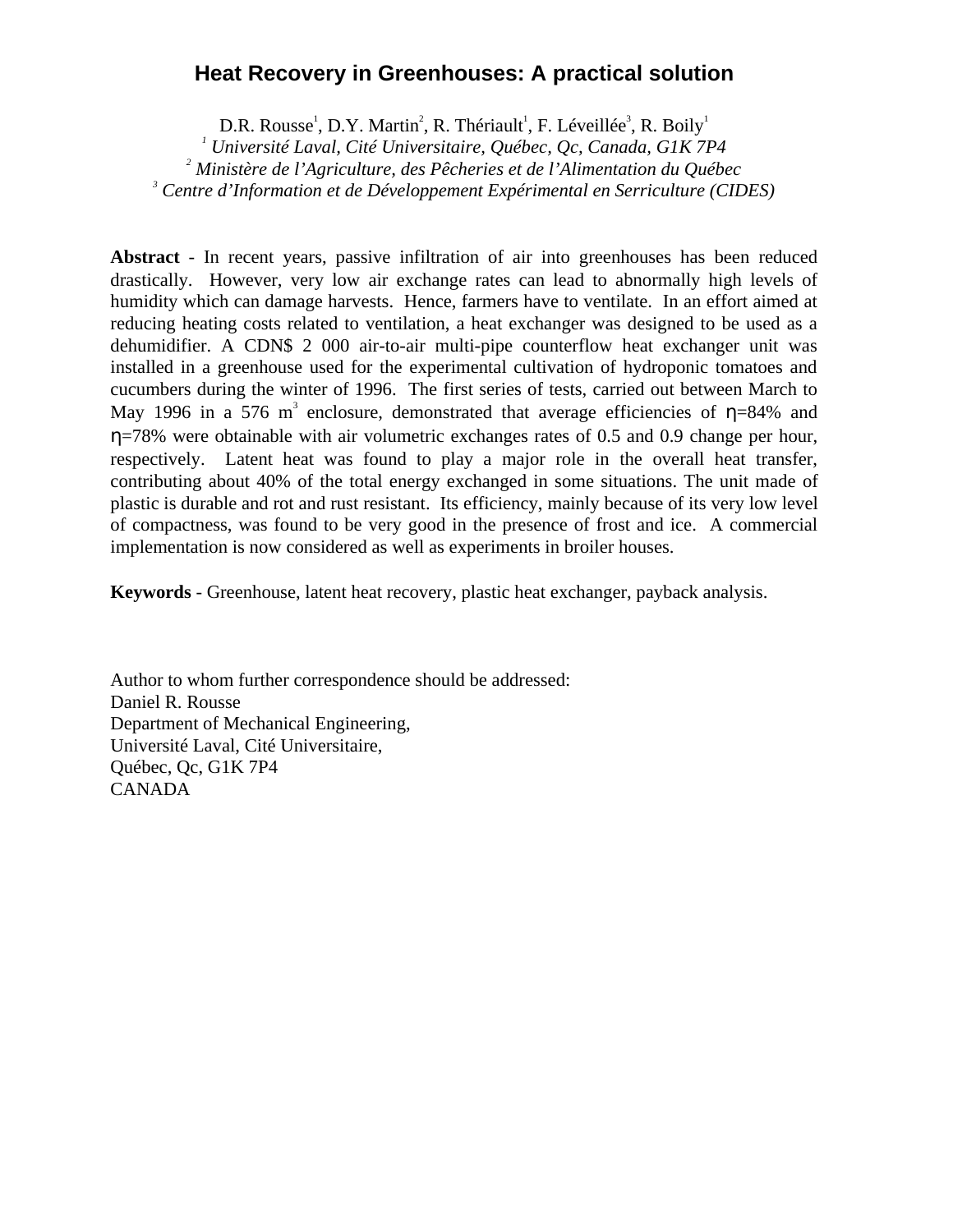# **Heat Recovery in Greenhouses: A practical solution**

D.R. Rousse<sup>1</sup>, D.Y. Martin<sup>2</sup>, R. Thériault<sup>1</sup>, F. Léveillée<sup>3</sup>, R. Boily<sup>1</sup>

*1 Université Laval, Cité Universitaire, Québec, Qc, Canada, G1K 7P4*

*2 Ministère de l'Agriculture, des Pêcheries et de l'Alimentation du Québec*

*3 Centre d'Information et de Développement Expérimental en Serriculture (CIDES)*

**Abstract** - In recent years, passive infiltration of air into greenhouses has been reduced drastically. However, very low air exchange rates can lead to abnormally high levels of humidity which can damage harvests. Hence, farmers have to ventilate. In an effort aimed at reducing heating costs related to ventilation, a heat exchanger was designed to be used as a dehumidifier. A CDN\$ 2 000 air-to-air multi-pipe counterflow heat exchanger unit was installed in a greenhouse used for the experimental cultivation of hydroponic tomatoes and cucumbers during the winter of 1996. The first series of tests, carried out between March to May 1996 in a 576 m<sup>3</sup> enclosure, demonstrated that average efficiencies of  $\eta$ =84% and η=78% were obtainable with air volumetric exchanges rates of 0.5 and 0.9 change per hour, respectively. Latent heat was found to play a major role in the overall heat transfer, contributing about 40% of the total energy exchanged in some situations. The unit made of plastic is durable and rot and rust resistant. Its efficiency, mainly because of its very low level of compactness, was found to be very good in the presence of frost and ice. A commercial implementation is now considered as well as experiments in broiler houses.

**Keywords** - Greenhouse, latent heat recovery, plastic heat exchanger, payback analysis.

Author to whom further correspondence should be addressed: Daniel R. Rousse Department of Mechanical Engineering, Université Laval, Cité Universitaire, Québec, Qc, G1K 7P4 CANADA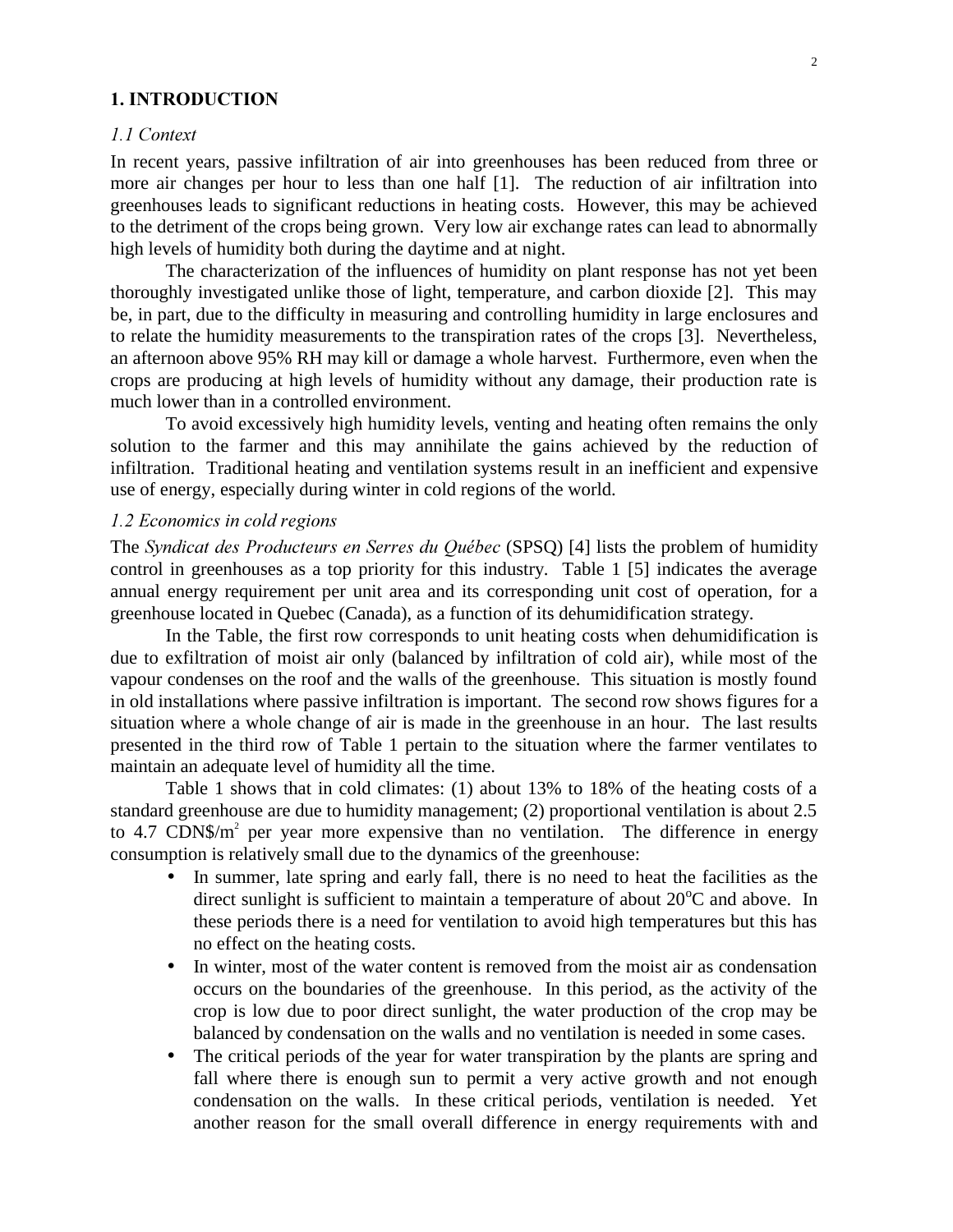### 1. INTRODUCTION

#### *A.1* Context

In recent years, passive infiltration of air into greenhouses has been reduced from three or more air changes per hour to less than one half [1]. The reduction of air infiltration into greenhouses leads to significant reductions in heating costs. However, this may be achieved to the detriment of the crops being grown. Very low air exchange rates can lead to abnormally high levels of humidity both during the daytime and at night.

The characterization of the influences of humidity on plant response has not yet been thoroughly investigated unlike those of light, temperature, and carbon dioxide [2]. This may be, in part, due to the difficulty in measuring and controlling humidity in large enclosures and to relate the humidity measurements to the transpiration rates of the crops [3]. Nevertheless, an afternoon above 95% RH may kill or damage a whole harvest. Furthermore, even when the crops are producing at high levels of humidity without any damage, their production rate is much lower than in a controlled environment.

To avoid excessively high humidity levels, venting and heating often remains the only solution to the farmer and this may annihilate the gains achieved by the reduction of infiltration. Traditional heating and ventilation systems result in an inefficient and expensive use of energy, especially during winter in cold regions of the world.

### *l.2 Economics in cold regions*

The *Syndicat des Producteurs en Serres du Québec* (SPSQ) [4] lists the problem of humidity control in greenhouses as a top priority for this industry. Table 1 [5] indicates the average annual energy requirement per unit area and its corresponding unit cost of operation, for a greenhouse located in Quebec (Canada), as a function of its dehumidification strategy.

In the Table, the first row corresponds to unit heating costs when dehumidification is due to exfiltration of moist air only (balanced by infiltration of cold air), while most of the vapour condenses on the roof and the walls of the greenhouse. This situation is mostly found in old installations where passive infiltration is important. The second row shows figures for a situation where a whole change of air is made in the greenhouse in an hour. The last results presented in the third row of Table 1 pertain to the situation where the farmer ventilates to maintain an adequate level of humidity all the time.

Table 1 shows that in cold climates: (1) about 13% to 18% of the heating costs of a standard greenhouse are due to humidity management; (2) proportional ventilation is about 2.5 to 4.7 CDN\$/ $m^2$  per year more expensive than no ventilation. The difference in energy consumption is relatively small due to the dynamics of the greenhouse:

- In summer, late spring and early fall, there is no need to heat the facilities as the direct sunlight is sufficient to maintain a temperature of about  $20^{\circ}$ C and above. In these periods there is a need for ventilation to avoid high temperatures but this has no effect on the heating costs.
- In winter, most of the water content is removed from the moist air as condensation occurs on the boundaries of the greenhouse. In this period, as the activity of the crop is low due to poor direct sunlight, the water production of the crop may be balanced by condensation on the walls and no ventilation is needed in some cases.
- The critical periods of the year for water transpiration by the plants are spring and fall where there is enough sun to permit a very active growth and not enough condensation on the walls. In these critical periods, ventilation is needed. Yet another reason for the small overall difference in energy requirements with and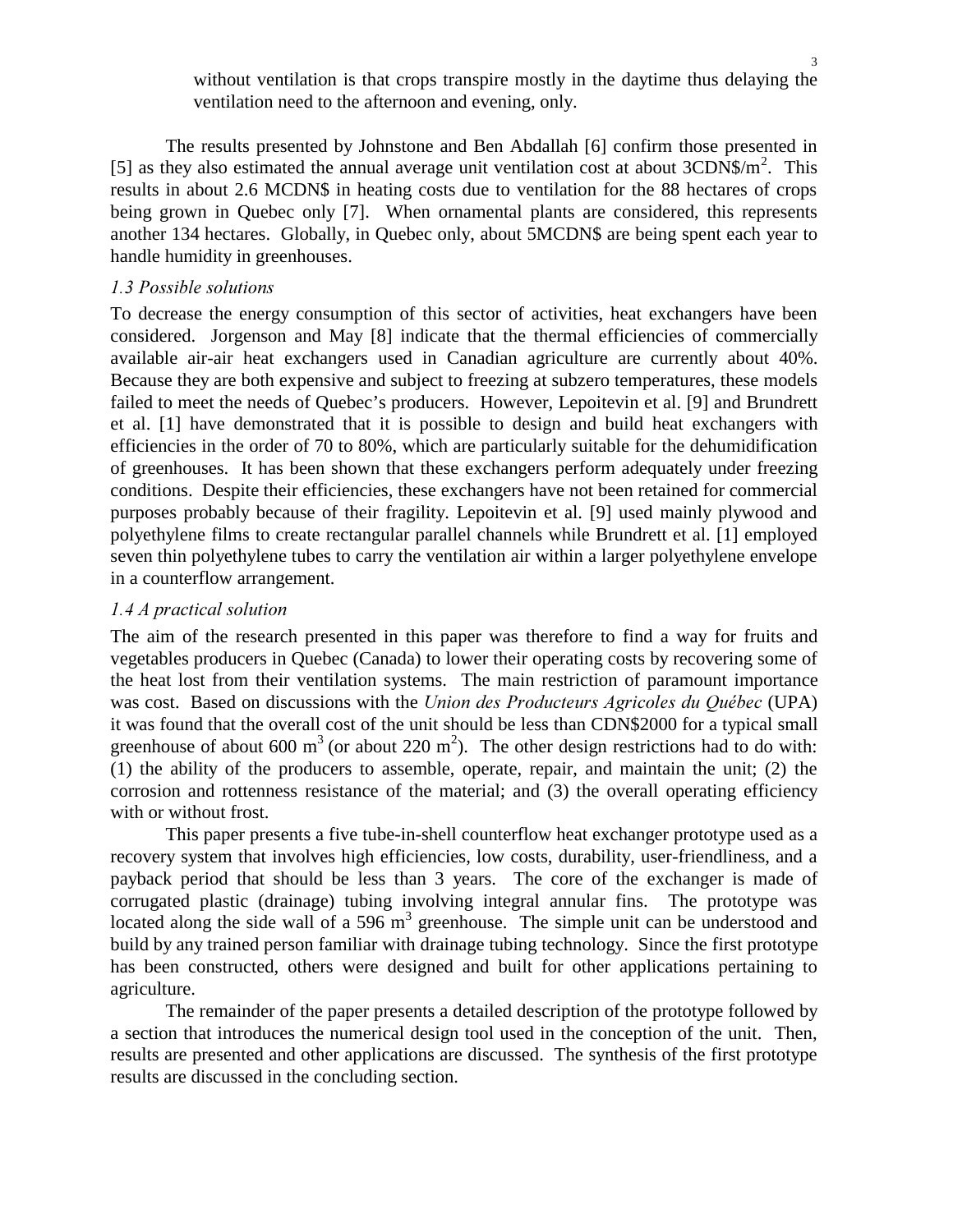without ventilation is that crops transpire mostly in the daytime thus delaying the ventilation need to the afternoon and evening, only.

The results presented by Johnstone and Ben Abdallah [6] confirm those presented in [5] as they also estimated the annual average unit ventilation cost at about  $3CDN\$/m^2$ . This results in about 2.6 MCDN\$ in heating costs due to ventilation for the 88 hectares of crops being grown in Quebec only [7]. When ornamental plants are considered, this represents another 134 hectares. Globally, in Quebec only, about 5MCDN\$ are being spent each year to handle humidity in greenhouses.

### *1.3 Possible solutions*

To decrease the energy consumption of this sector of activities, heat exchangers have been considered. Jorgenson and May [8] indicate that the thermal efficiencies of commercially available air-air heat exchangers used in Canadian agriculture are currently about 40%. Because they are both expensive and subject to freezing at subzero temperatures, these models failed to meet the needs of Quebec's producers. However, Lepoitevin et al. [9] and Brundrett et al. [1] have demonstrated that it is possible to design and build heat exchangers with efficiencies in the order of 70 to 80%, which are particularly suitable for the dehumidification of greenhouses. It has been shown that these exchangers perform adequately under freezing conditions. Despite their efficiencies, these exchangers have not been retained for commercial purposes probably because of their fragility. Lepoitevin et al. [9] used mainly plywood and polyethylene films to create rectangular parallel channels while Brundrett et al. [1] employed seven thin polyethylene tubes to carry the ventilation air within a larger polyethylene envelope in a counterflow arrangement.

# *h*.4 *A* practical solution

The aim of the research presented in this paper was therefore to find a way for fruits and vegetables producers in Quebec (Canada) to lower their operating costs by recovering some of the heat lost from their ventilation systems. The main restriction of paramount importance was cost. Based on discussions with the *Union des Producteurs Agricoles du Ouébec* (UPA) it was found that the overall cost of the unit should be less than CDN\$2000 for a typical small greenhouse of about 600 m<sup>3</sup> (or about 220 m<sup>2</sup>). The other design restrictions had to do with: (1) the ability of the producers to assemble, operate, repair, and maintain the unit; (2) the corrosion and rottenness resistance of the material; and (3) the overall operating efficiency with or without frost.

This paper presents a five tube-in-shell counterflow heat exchanger prototype used as a recovery system that involves high efficiencies, low costs, durability, user-friendliness, and a payback period that should be less than 3 years. The core of the exchanger is made of corrugated plastic (drainage) tubing involving integral annular fins. The prototype was located along the side wall of a 596  $m<sup>3</sup>$  greenhouse. The simple unit can be understood and build by any trained person familiar with drainage tubing technology. Since the first prototype has been constructed, others were designed and built for other applications pertaining to agriculture.

The remainder of the paper presents a detailed description of the prototype followed by a section that introduces the numerical design tool used in the conception of the unit. Then, results are presented and other applications are discussed. The synthesis of the first prototype results are discussed in the concluding section.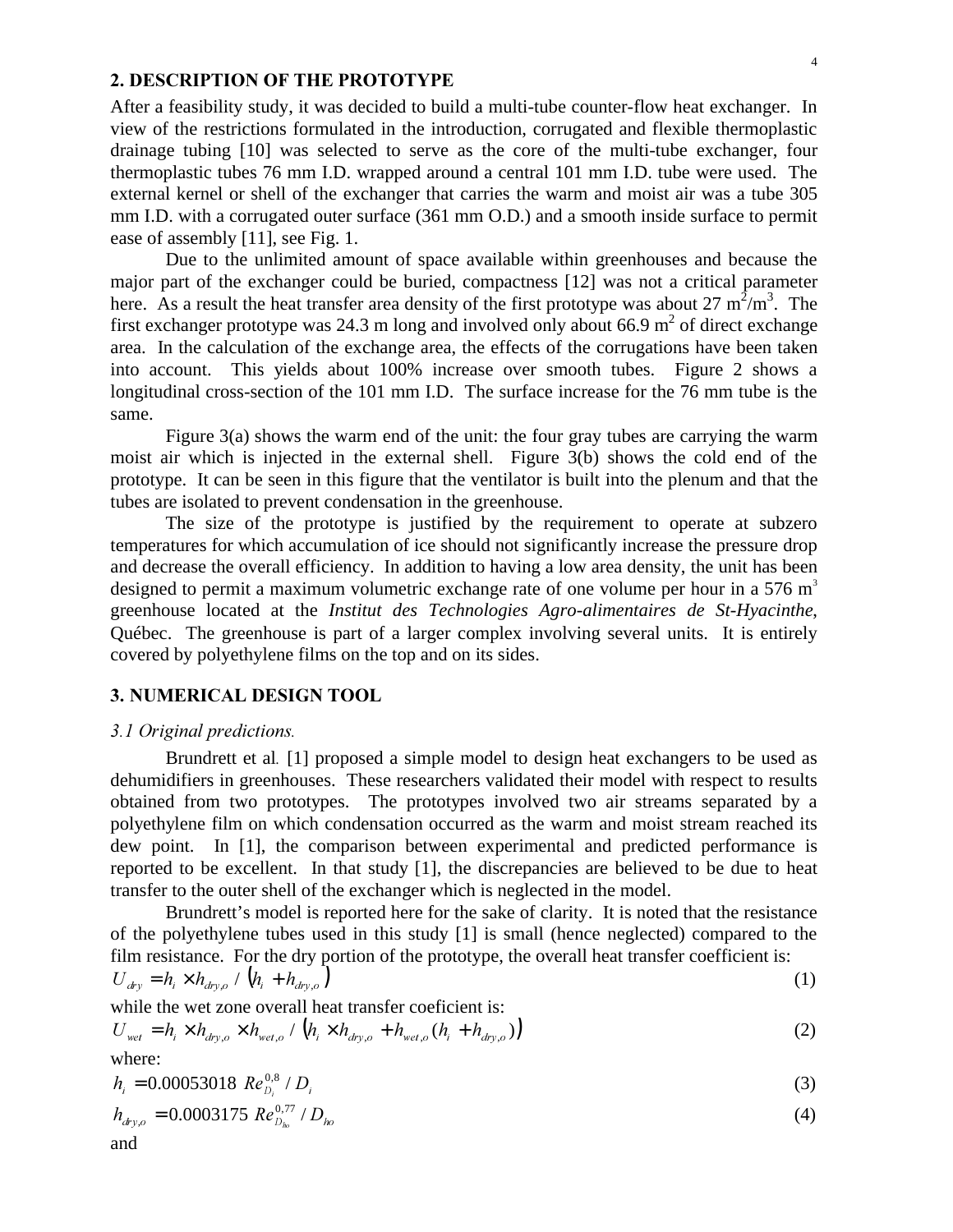### 2. DESCRIPTION OF THE PROTOTYPE

After a feasibility study, it was decided to build a multi-tube counter-flow heat exchanger. In view of the restrictions formulated in the introduction, corrugated and flexible thermoplastic drainage tubing [10] was selected to serve as the core of the multi-tube exchanger, four thermoplastic tubes 76 mm I.D. wrapped around a central 101 mm I.D. tube were used. The external kernel or shell of the exchanger that carries the warm and moist air was a tube 305 mm I.D. with a corrugated outer surface (361 mm O.D.) and a smooth inside surface to permit ease of assembly [11], see Fig. 1.

Due to the unlimited amount of space available within greenhouses and because the major part of the exchanger could be buried, compactness [12] was not a critical parameter here. As a result the heat transfer area density of the first prototype was about 27  $m^2/m^3$ . The first exchanger prototype was 24.3 m long and involved only about 66.9 m<sup>2</sup> of direct exchange area. In the calculation of the exchange area, the effects of the corrugations have been taken into account. This yields about 100% increase over smooth tubes. Figure 2 shows a longitudinal cross-section of the 101 mm I.D. The surface increase for the 76 mm tube is the same.

Figure 3(a) shows the warm end of the unit: the four gray tubes are carrying the warm moist air which is injected in the external shell. Figure 3(b) shows the cold end of the prototype. It can be seen in this figure that the ventilator is built into the plenum and that the tubes are isolated to prevent condensation in the greenhouse.

The size of the prototype is justified by the requirement to operate at subzero temperatures for which accumulation of ice should not significantly increase the pressure drop and decrease the overall efficiency. In addition to having a low area density, the unit has been designed to permit a maximum volumetric exchange rate of one volume per hour in a 576  $m<sup>3</sup>$ greenhouse located at the *Institut des Technologies Agro-alimentaires de St-Hyacinthe*, Québec. The greenhouse is part of a larger complex involving several units. It is entirely covered by polyethylene films on the top and on its sides.

### 3. NUMERICAL DESIGN TOOL

#### *2.1 Original predictions.*

Brundrett et al [1] proposed a simple model to design heat exchangers to be used as dehumidifiers in greenhouses. These researchers validated their model with respect to results obtained from two prototypes. The prototypes involved two air streams separated by a polyethylene film on which condensation occurred as the warm and moist stream reached its dew point. In [1], the comparison between experimental and predicted performance is reported to be excellent. In that study [1], the discrepancies are believed to be due to heat transfer to the outer shell of the exchanger which is neglected in the model.

Brundrett's model is reported here for the sake of clarity. It is noted that the resistance of the polyethylene tubes used in this study [1] is small (hence neglected) compared to the film resistance. For the dry portion of the prototype, the overall heat transfer coefficient is:  $U_{\text{div}} = h_i \times h_{\text{div}, o} / (h_i + h_{\text{div}, o})$  (1)

while the wet zone overall heat transfer coeficient is:

$$
U_{\text{wet}} = h_i \times h_{\text{dry},o} \times h_{\text{wet},o} / (h_i \times h_{\text{dry},o} + h_{\text{wet},o} (h_i + h_{\text{dry},o}))
$$
 (2)

where:

$$
h_i = 0.00053018 \ Re_{D_i}^{0.8} / D_i \tag{3}
$$

$$
h_{\text{dry},o} = 0.0003175 \, Re_{D_{ho}}^{0.77} / D_{ho}
$$
 (4)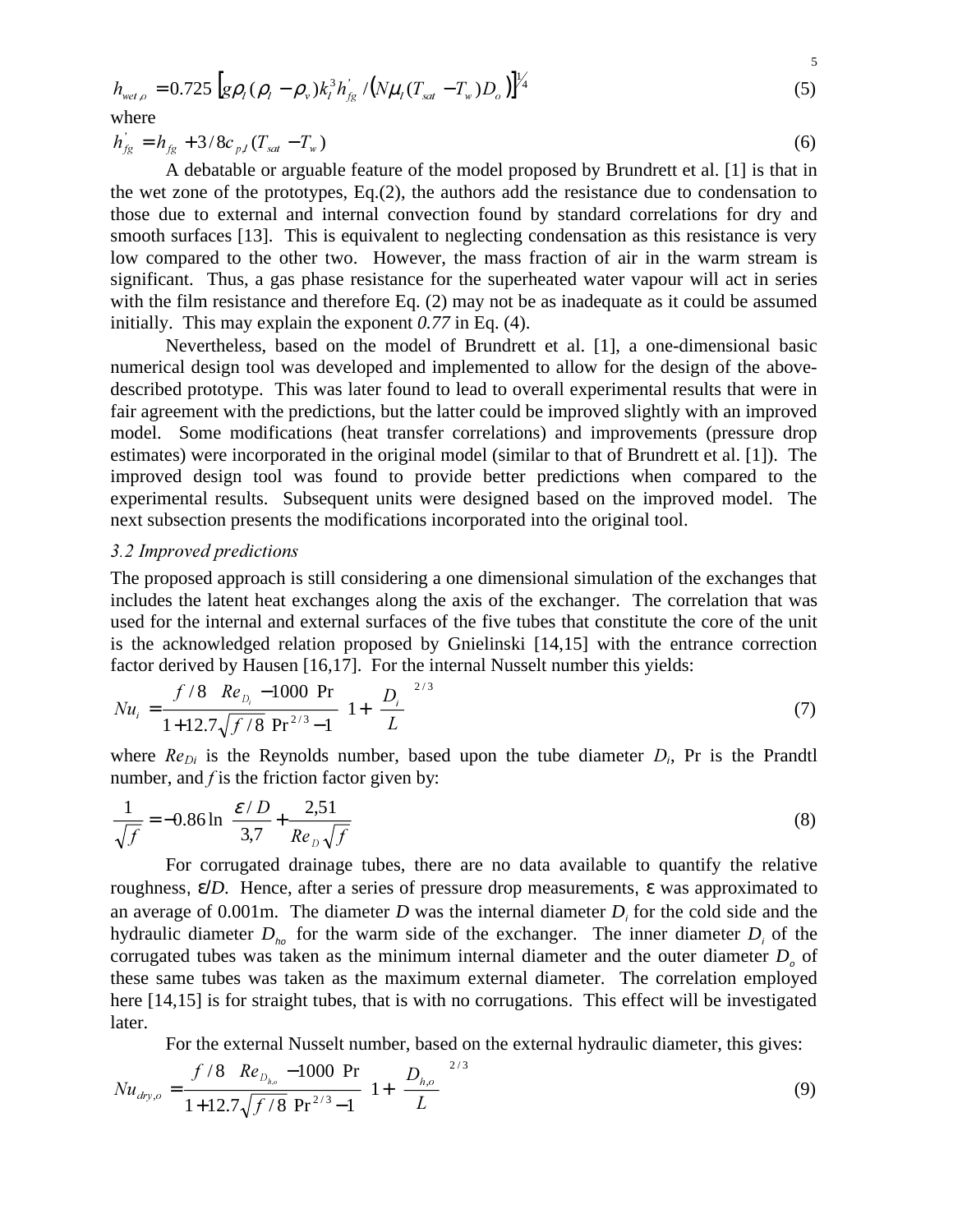$$
h_{wet,o} = 0.725 \left[ g \rho_l (\rho_l - \rho_v) k_l^3 h_{fg}^{\dagger} / (N \mu_l (T_{sat} - T_w) D_o) \right]^{1/4}
$$
 (5)

5

where

$$
h'_{fg} = h_{fg} + 3/8c_{p,l}(T_{sat} - T_w)
$$
 (6)

A debatable or arguable feature of the model proposed by Brundrett et al. [1] is that in the wet zone of the prototypes, Eq.(2), the authors add the resistance due to condensation to those due to external and internal convection found by standard correlations for dry and smooth surfaces [13]. This is equivalent to neglecting condensation as this resistance is very low compared to the other two. However, the mass fraction of air in the warm stream is significant. Thus, a gas phase resistance for the superheated water vapour will act in series with the film resistance and therefore Eq. (2) may not be as inadequate as it could be assumed initially. This may explain the exponent *0.77* in Eq. (4).

Nevertheless, based on the model of Brundrett et al. [1], a one-dimensional basic numerical design tool was developed and implemented to allow for the design of the abovedescribed prototype. This was later found to lead to overall experimental results that were in fair agreement with the predictions, but the latter could be improved slightly with an improved model. Some modifications (heat transfer correlations) and improvements (pressure drop estimates) were incorporated in the original model (similar to that of Brundrett et al. [1]). The improved design tool was found to provide better predictions when compared to the experimental results. Subsequent units were designed based on the improved model. The next subsection presents the modifications incorporated into the original tool.

### 3.2 Improved predictions

The proposed approach is still considering a one dimensional simulation of the exchanges that includes the latent heat exchanges along the axis of the exchanger. The correlation that was used for the internal and external surfaces of the five tubes that constitute the core of the unit is the acknowledged relation proposed by Gnielinski [14,15] with the entrance correction factor derived by Hausen [16,17]. For the internal Nusselt number this yields:

$$
Nu_{i} = \frac{\left(f/8\right)\left(Re_{D_{i}} - 1000\right)Pr}{1 + 12.7\sqrt{f/8}\left(Pr^{2/3} - 1\right)} \left[1 + \left(\frac{D_{i}}{L}\right)^{2/3}\right]
$$
\n(7)

where  $Re_{Di}$  is the Reynolds number, based upon the tube diameter  $D_i$ , Pr is the Prandtl number, and *f* is the friction factor given by:

$$
\frac{1}{\sqrt{f}} = -0.86 \ln \left( \frac{\mathcal{E}/D}{3.7} + \frac{2.51}{Re_D \sqrt{f}} \right)
$$
 (8)

For corrugated drainage tubes, there are no data available to quantify the relative roughness, ε/*D*. Hence, after a series of pressure drop measurements, ε was approximated to an average of  $0.001$ m. The diameter *D* was the internal diameter *D*<sub>i</sub> for the cold side and the hydraulic diameter  $D_{ho}$  for the warm side of the exchanger. The inner diameter  $D_i$  of the corrugated tubes was taken as the minimum internal diameter and the outer diameter  $D<sub>o</sub>$  of these same tubes was taken as the maximum external diameter. The correlation employed here [14,15] is for straight tubes, that is with no corrugations. This effect will be investigated later.

For the external Nusselt number, based on the external hydraulic diameter, this gives:

$$
Nu_{\text{dry},o} = \frac{\left(f/8\right)\left(Re_{D_{h,o}} - 1000\right)Pr}{1 + 12.7\sqrt{f/8}\left(Pr^{2/3} - 1\right)} \left[1 + \left(\frac{D_{h,o}}{L}\right)^{2/3}\right]
$$
\n(9)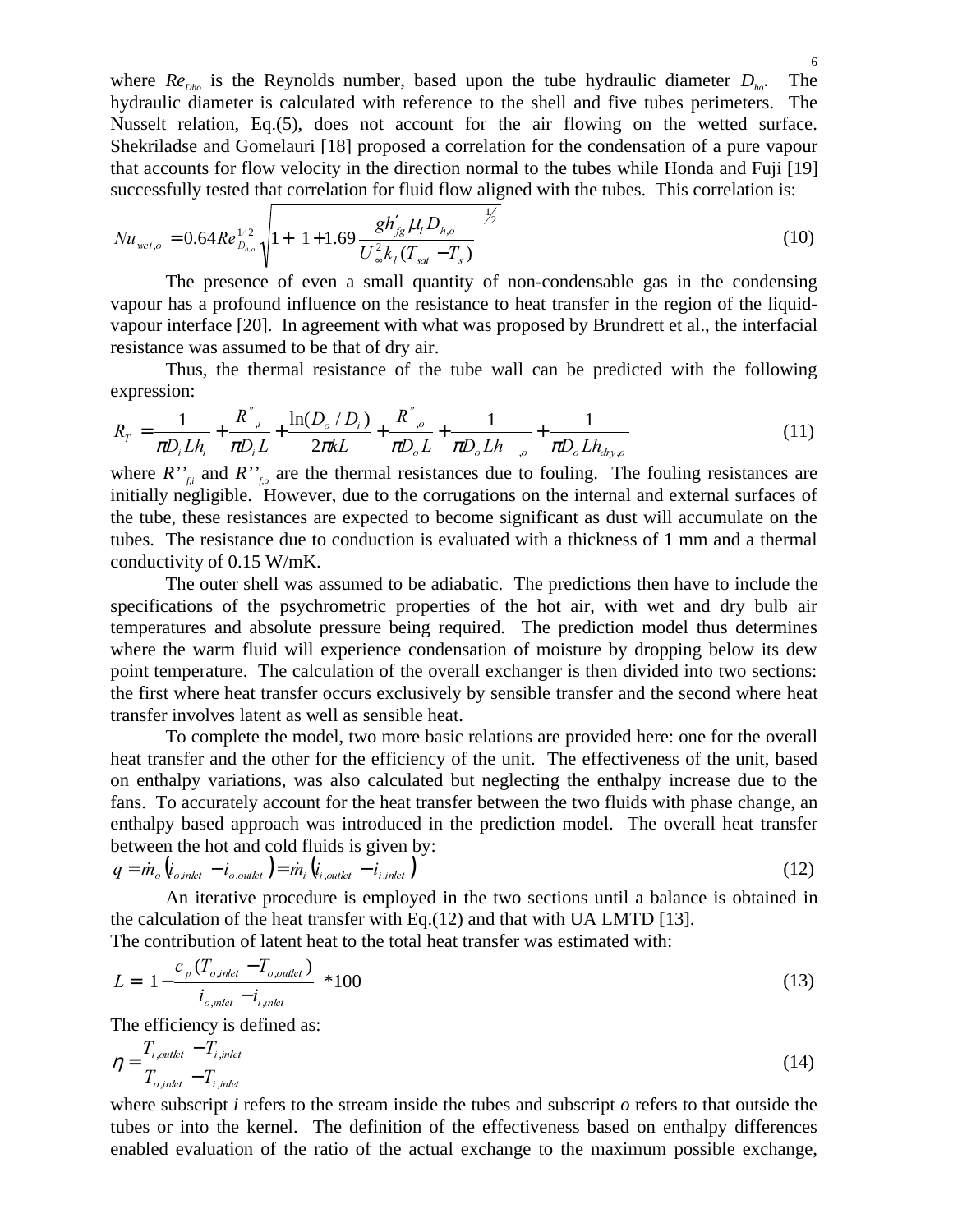where  $Re_{Dho}$  is the Reynolds number, based upon the tube hydraulic diameter  $D_{ho}$ . The hydraulic diameter is calculated with reference to the shell and five tubes perimeters. The Nusselt relation, Eq.(5), does not account for the air flowing on the wetted surface. Shekriladse and Gomelauri [18] proposed a correlation for the condensation of a pure vapour that accounts for flow velocity in the direction normal to the tubes while Honda and Fuji [19] successfully tested that correlation for fluid flow aligned with the tubes. This correlation is:

$$
Nu_{wet,o} = 0.64Re_{D_{h,o}}^{1/2} \sqrt{1 + \left(1 + 1.69 \frac{gh'_{fg} \mu_l D_{h,o}}{U_{\infty}^2 k_l (T_{sat} - T_s)}\right)^{1/2}}
$$
(10)

The presence of even a small quantity of non-condensable gas in the condensing vapour has a profound influence on the resistance to heat transfer in the region of the liquidvapour interface [20]. In agreement with what was proposed by Brundrett et al., the interfacial resistance was assumed to be that of dry air.

Thus, the thermal resistance of the tube wall can be predicted with the following expression:

$$
R_T = \frac{1}{\pi D_i L h_i} + \frac{R^{\dagger}_{i,i}}{\pi D_i L} + \frac{\ln(D_o/D_i)}{2\pi k L} + \frac{R^{\dagger}_{i,o}}{\pi D_o L} + \frac{1}{\pi D_o L h_{o,o}} + \frac{1}{\pi D_o L h_{\text{dry},o}} \tag{11}
$$

where  $R''_{f_i}$  and  $R''_{f_o}$  are the thermal resistances due to fouling. The fouling resistances are initially negligible. However, due to the corrugations on the internal and external surfaces of the tube, these resistances are expected to become significant as dust will accumulate on the tubes. The resistance due to conduction is evaluated with a thickness of 1 mm and a thermal conductivity of 0.15 W/mK.

The outer shell was assumed to be adiabatic. The predictions then have to include the specifications of the psychrometric properties of the hot air, with wet and dry bulb air temperatures and absolute pressure being required. The prediction model thus determines where the warm fluid will experience condensation of moisture by dropping below its dew point temperature. The calculation of the overall exchanger is then divided into two sections: the first where heat transfer occurs exclusively by sensible transfer and the second where heat transfer involves latent as well as sensible heat.

To complete the model, two more basic relations are provided here: one for the overall heat transfer and the other for the efficiency of the unit. The effectiveness of the unit, based on enthalpy variations, was also calculated but neglecting the enthalpy increase due to the fans. To accurately account for the heat transfer between the two fluids with phase change, an enthalpy based approach was introduced in the prediction model. The overall heat transfer between the hot and cold fluids is given by:

$$
q = \dot{m}_o \left( i_{o, \text{inlet}} - i_{o, \text{outlet}} \right) = \dot{m}_i \left( i_{i, \text{outlet}} - i_{i, \text{inlet}} \right)
$$
\n
$$
(12)
$$

An iterative procedure is employed in the two sections until a balance is obtained in the calculation of the heat transfer with Eq.(12) and that with UA LMTD [13].  $T$  in contribution of latent heat to the the transfer with  $T$ 

$$
L = \left[1 - \frac{c_p (T_{o, \text{inlet}} - T_{o, \text{outlet}})}{i_{o, \text{inlet}} - i_{i, \text{inlet}}}\right] * 100
$$
\n(13)

The efficiency is defined as:

$$
\eta = \frac{T_{i,outlet} - T_{i,inlet}}{T_{o,inlet} - T_{i,inlet}}
$$
\n(14)

where subscript *i* refers to the stream inside the tubes and subscript *o* refers to that outside the tubes or into the kernel. The definition of the effectiveness based on enthalpy differences enabled evaluation of the ratio of the actual exchange to the maximum possible exchange,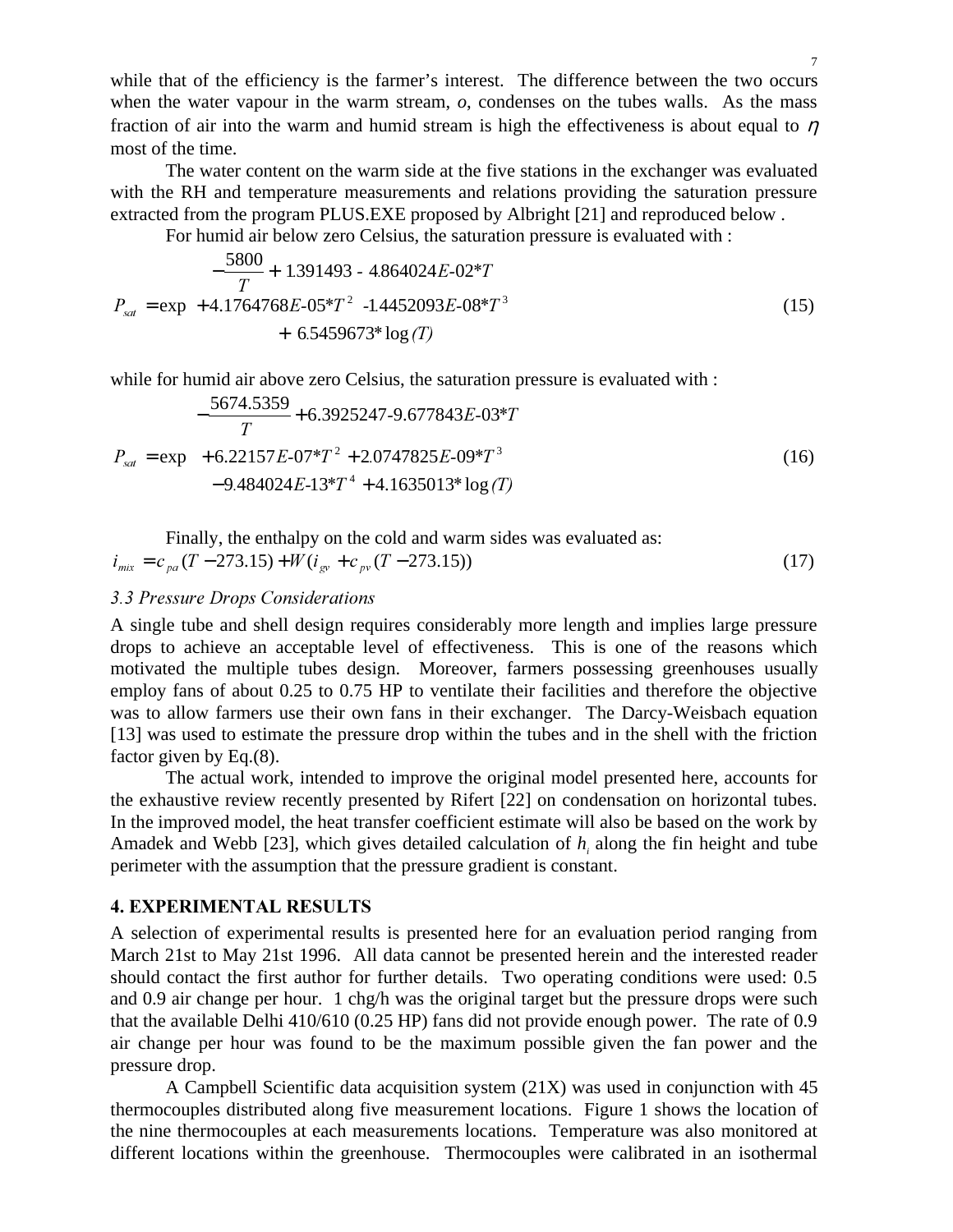while that of the efficiency is the farmer's interest. The difference between the two occurs when the water vapour in the warm stream,  $o$ , condenses on the tubes walls. As the mass fraction of air into the warm and humid stream is high the effectiveness is about equal to  $\eta$ most of the time.

The water content on the warm side at the five stations in the exchanger was evaluated with the RH and temperature measurements and relations providing the saturation pressure extracted from the program PLUS.EXE proposed by Albright [21] and reproduced below .

For humid air below zero Celsius, the saturation pressure is evaluated with :

$$
P_{sat} = \exp\left(+4.1764768E-05*T^2 - 1.4452093E-08*T^3 + 6.5459673*\log(T)\right)
$$
\n(15)

while for humid air above zero Celsius, the saturation pressure is evaluated with :

$$
P_{sat} = \exp\left(-\frac{5674.5359}{T} + 6.3925247 - 9.677843E - 03*T + 6.22157E - 07*T^2 + 2.0747825E - 09*T^3 - 9.484024E - 13*T^4 + 4.1635013* \log(T)\right)
$$
(16)

Finally, the enthalpy on the cold and warm sides was evaluated as:

$$
i_{\min} = c_{pq} (T - 273.15) + W (i_{gy} + c_{pv} (T - 273.15))
$$
\n(17)

# 3.3 Pressure Drops Considerations

A single tube and shell design requires considerably more length and implies large pressure drops to achieve an acceptable level of effectiveness. This is one of the reasons which motivated the multiple tubes design. Moreover, farmers possessing greenhouses usually employ fans of about 0.25 to 0.75 HP to ventilate their facilities and therefore the objective was to allow farmers use their own fans in their exchanger. The Darcy-Weisbach equation [13] was used to estimate the pressure drop within the tubes and in the shell with the friction factor given by Eq.(8).

The actual work, intended to improve the original model presented here, accounts for the exhaustive review recently presented by Rifert [22] on condensation on horizontal tubes. In the improved model, the heat transfer coefficient estimate will also be based on the work by Amadek and Webb [23], which gives detailed calculation of  $h_i$  along the fin height and tube perimeter with the assumption that the pressure gradient is constant.

### **4. EXPERIMENTAL RESULTS**

A selection of experimental results is presented here for an evaluation period ranging from March 21st to May 21st 1996. All data cannot be presented herein and the interested reader should contact the first author for further details. Two operating conditions were used: 0.5 and 0.9 air change per hour. 1 chg/h was the original target but the pressure drops were such that the available Delhi 410/610 (0.25 HP) fans did not provide enough power. The rate of 0.9 air change per hour was found to be the maximum possible given the fan power and the pressure drop.

A Campbell Scientific data acquisition system (21X) was used in conjunction with 45 thermocouples distributed along five measurement locations. Figure 1 shows the location of the nine thermocouples at each measurements locations. Temperature was also monitored at different locations within the greenhouse. Thermocouples were calibrated in an isothermal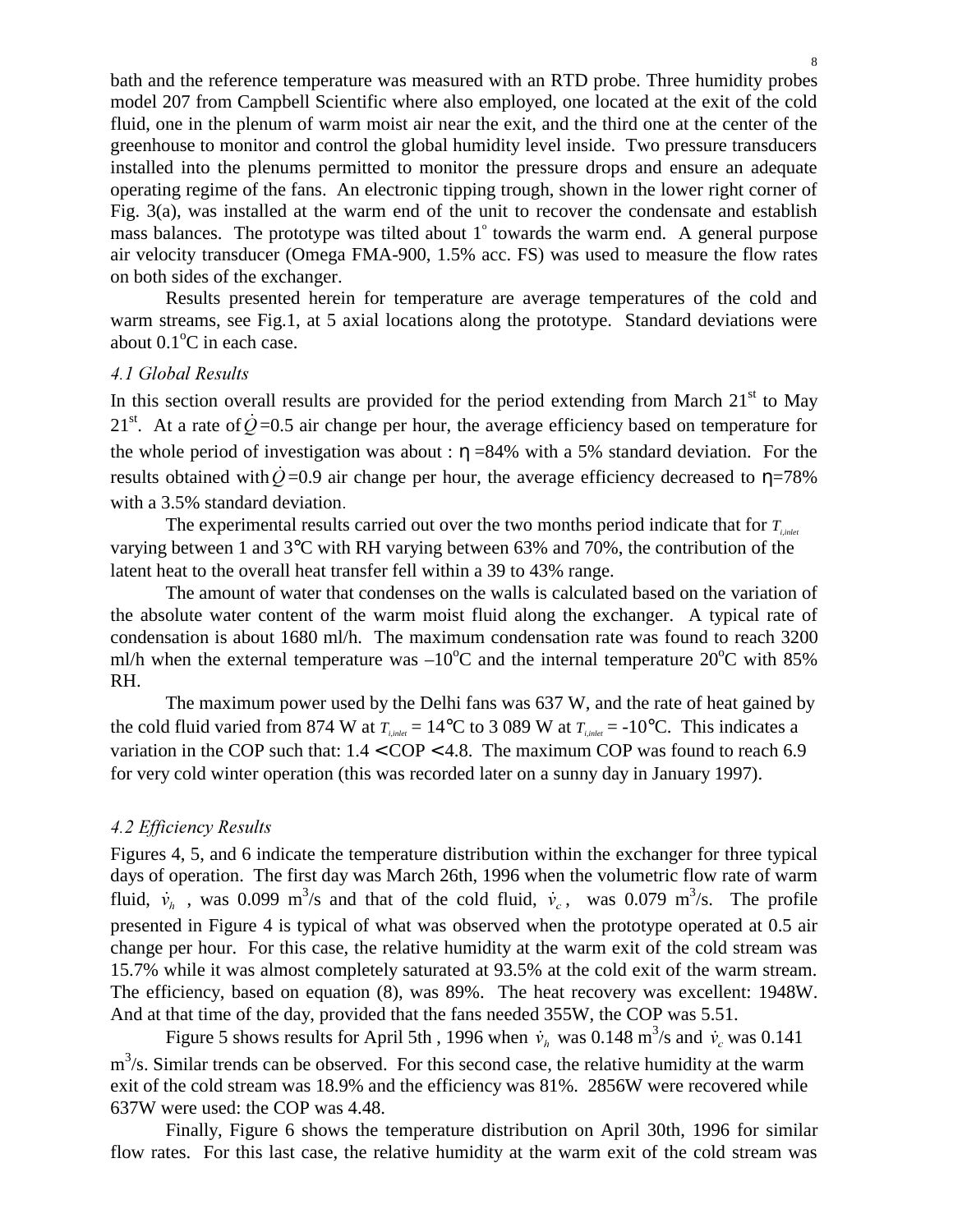bath and the reference temperature was measured with an RTD probe. Three humidity probes model 207 from Campbell Scientific where also employed, one located at the exit of the cold fluid, one in the plenum of warm moist air near the exit, and the third one at the center of the greenhouse to monitor and control the global humidity level inside. Two pressure transducers installed into the plenums permitted to monitor the pressure drops and ensure an adequate operating regime of the fans. An electronic tipping trough, shown in the lower right corner of Fig. 3(a), was installed at the warm end of the unit to recover the condensate and establish mass balances. The prototype was tilted about 1° towards the warm end. A general purpose air velocity transducer (Omega FMA-900, 1.5% acc. FS) was used to measure the flow rates on both sides of the exchanger.

Results presented herein for temperature are average temperatures of the cold and warm streams, see Fig.1, at 5 axial locations along the prototype. Standard deviations were about  $0.1^{\circ}$ C in each case.

#### 4.1 Global Results

In this section overall results are provided for the period extending from March  $21<sup>st</sup>$  to May  $21<sup>st</sup>$ . At a rate of  $\dot{Q}$  =0.5 air change per hour, the average efficiency based on temperature for the whole period of investigation was about :  $\eta$  =84% with a 5% standard deviation. For the results obtained with  $\dot{Q}$ =0.9 air change per hour, the average efficiency decreased to  $\eta$ =78% with a 3.5% standard deviation.

The experimental results carried out over the two months period indicate that for  $T_{i,plet}$ varying between 1 and 3°C with RH varying between 63% and 70%, the contribution of the latent heat to the overall heat transfer fell within a 39 to 43% range.

The amount of water that condenses on the walls is calculated based on the variation of the absolute water content of the warm moist fluid along the exchanger. A typical rate of condensation is about 1680 ml/h. The maximum condensation rate was found to reach 3200 ml/h when the external temperature was  $-10^{\circ}$ C and the internal temperature 20 $^{\circ}$ C with 85% RH.

The maximum power used by the Delhi fans was 637 W, and the rate of heat gained by the cold fluid varied from 874 W at  $T_{i,jat} = 14^{\circ}\text{C}$  to 3 089 W at  $T_{i,jat} = -10^{\circ}\text{C}$ . This indicates a variation in the COP such that:  $1.4 <$  COP  $<$  4.8. The maximum COP was found to reach 6.9 for very cold winter operation (this was recorded later on a sunny day in January 1997).

### **4.2 Efficiency Results**

Figures 4, 5, and 6 indicate the temperature distribution within the exchanger for three typical days of operation. The first day was March 26th, 1996 when the volumetric flow rate of warm fluid,  $\dot{v}_h$ , was 0.099 m<sup>3</sup>/s and that of the cold fluid,  $\dot{v}_c$ , was 0.079 m<sup>3</sup>/s. The profile presented in Figure 4 is typical of what was observed when the prototype operated at 0.5 air change per hour. For this case, the relative humidity at the warm exit of the cold stream was 15.7% while it was almost completely saturated at 93.5% at the cold exit of the warm stream. The efficiency, based on equation (8), was 89%. The heat recovery was excellent: 1948W. And at that time of the day, provided that the fans needed 355W, the COP was 5.51.

Figure 5 shows results for April 5th, 1996 when  $\dot{v}_h$  was 0.148 m<sup>3</sup>/s and  $\dot{v}_c$  was 0.141  $m<sup>3</sup>/s$ . Similar trends can be observed. For this second case, the relative humidity at the warm exit of the cold stream was 18.9% and the efficiency was 81%. 2856W were recovered while 637W were used: the COP was 4.48.

Finally, Figure 6 shows the temperature distribution on April 30th, 1996 for similar flow rates. For this last case, the relative humidity at the warm exit of the cold stream was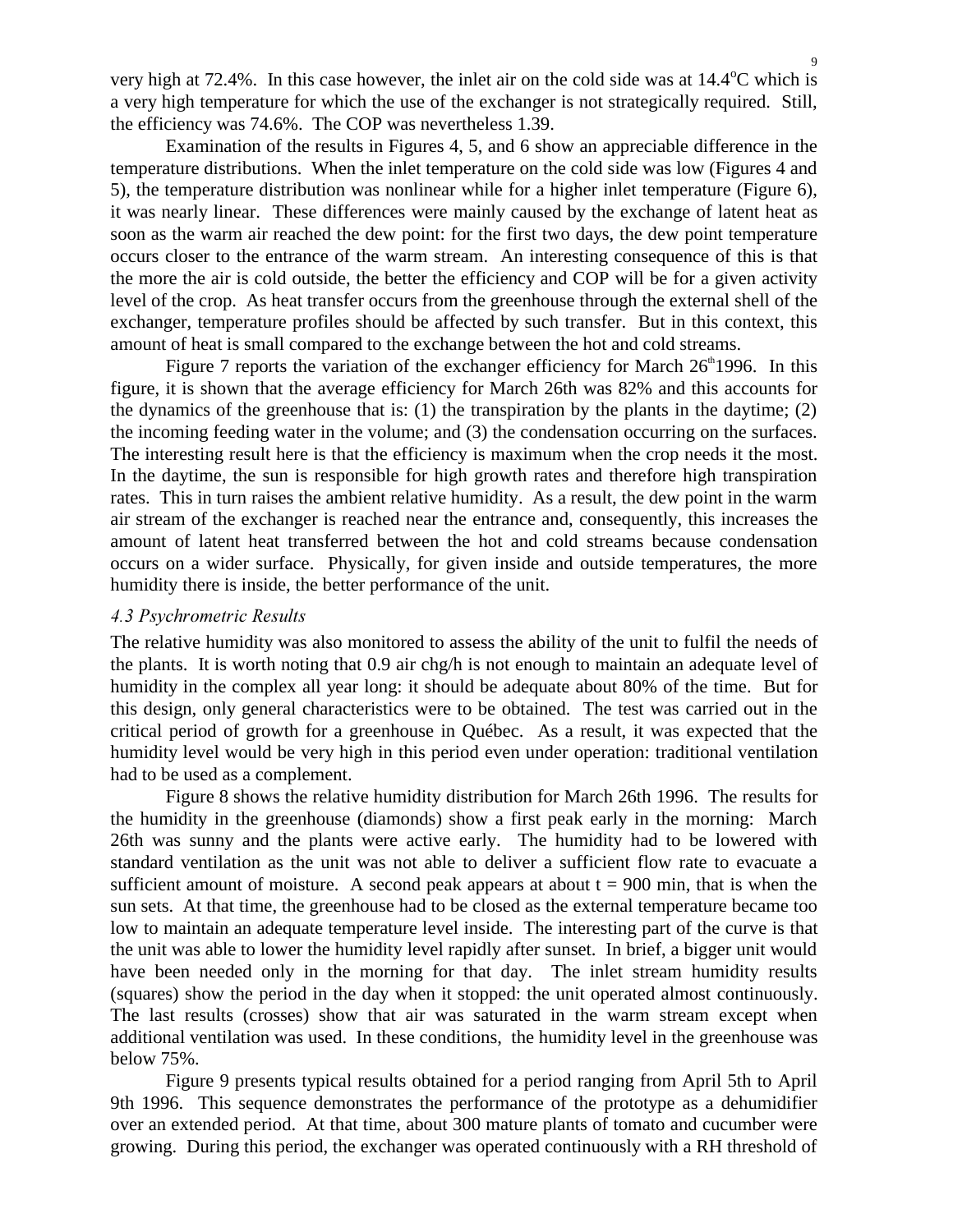very high at 72.4%. In this case however, the inlet air on the cold side was at  $14.4^{\circ}$ C which is a very high temperature for which the use of the exchanger is not strategically required. Still, the efficiency was 74.6%. The COP was nevertheless 1.39.

Examination of the results in Figures 4, 5, and 6 show an appreciable difference in the temperature distributions. When the inlet temperature on the cold side was low (Figures 4 and 5), the temperature distribution was nonlinear while for a higher inlet temperature (Figure 6), it was nearly linear. These differences were mainly caused by the exchange of latent heat as soon as the warm air reached the dew point: for the first two days, the dew point temperature occurs closer to the entrance of the warm stream. An interesting consequence of this is that the more the air is cold outside, the better the efficiency and COP will be for a given activity level of the crop. As heat transfer occurs from the greenhouse through the external shell of the exchanger, temperature profiles should be affected by such transfer. But in this context, this amount of heat is small compared to the exchange between the hot and cold streams.

Figure 7 reports the variation of the exchanger efficiency for March  $26<sup>th</sup>1996$ . In this figure, it is shown that the average efficiency for March 26th was 82% and this accounts for the dynamics of the greenhouse that is: (1) the transpiration by the plants in the daytime; (2) the incoming feeding water in the volume; and (3) the condensation occurring on the surfaces. The interesting result here is that the efficiency is maximum when the crop needs it the most. In the daytime, the sun is responsible for high growth rates and therefore high transpiration rates. This in turn raises the ambient relative humidity. As a result, the dew point in the warm air stream of the exchanger is reached near the entrance and, consequently, this increases the amount of latent heat transferred between the hot and cold streams because condensation occurs on a wider surface. Physically, for given inside and outside temperatures, the more humidity there is inside, the better performance of the unit.

### **4.3 Psychrometric Results**

The relative humidity was also monitored to assess the ability of the unit to fulfil the needs of the plants. It is worth noting that 0.9 air chg/h is not enough to maintain an adequate level of humidity in the complex all year long: it should be adequate about 80% of the time. But for this design, only general characteristics were to be obtained. The test was carried out in the critical period of growth for a greenhouse in Québec. As a result, it was expected that the humidity level would be very high in this period even under operation: traditional ventilation had to be used as a complement.

Figure 8 shows the relative humidity distribution for March 26th 1996. The results for the humidity in the greenhouse (diamonds) show a first peak early in the morning: March 26th was sunny and the plants were active early. The humidity had to be lowered with standard ventilation as the unit was not able to deliver a sufficient flow rate to evacuate a sufficient amount of moisture. A second peak appears at about  $t = 900$  min, that is when the sun sets. At that time, the greenhouse had to be closed as the external temperature became too low to maintain an adequate temperature level inside. The interesting part of the curve is that the unit was able to lower the humidity level rapidly after sunset. In brief, a bigger unit would have been needed only in the morning for that day. The inlet stream humidity results (squares) show the period in the day when it stopped: the unit operated almost continuously. The last results (crosses) show that air was saturated in the warm stream except when additional ventilation was used. In these conditions, the humidity level in the greenhouse was below 75%.

Figure 9 presents typical results obtained for a period ranging from April 5th to April 9th 1996. This sequence demonstrates the performance of the prototype as a dehumidifier over an extended period. At that time, about 300 mature plants of tomato and cucumber were growing. During this period, the exchanger was operated continuously with a RH threshold of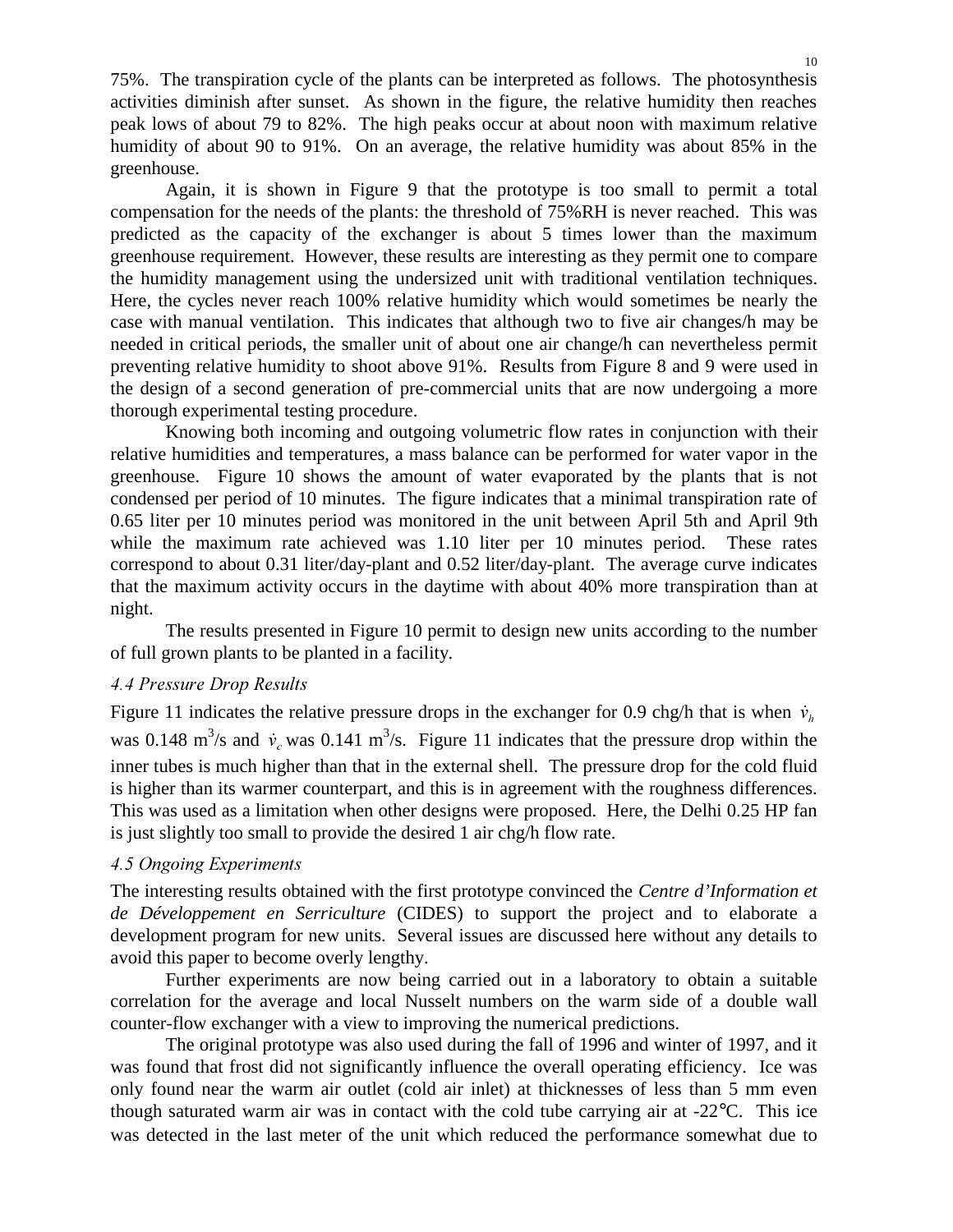75%. The transpiration cycle of the plants can be interpreted as follows. The photosynthesis activities diminish after sunset. As shown in the figure, the relative humidity then reaches peak lows of about 79 to 82%. The high peaks occur at about noon with maximum relative humidity of about 90 to 91%. On an average, the relative humidity was about 85% in the greenhouse.

Again, it is shown in Figure 9 that the prototype is too small to permit a total compensation for the needs of the plants: the threshold of 75%RH is never reached. This was predicted as the capacity of the exchanger is about 5 times lower than the maximum greenhouse requirement. However, these results are interesting as they permit one to compare the humidity management using the undersized unit with traditional ventilation techniques. Here, the cycles never reach 100% relative humidity which would sometimes be nearly the case with manual ventilation. This indicates that although two to five air changes/h may be needed in critical periods, the smaller unit of about one air change/h can nevertheless permit preventing relative humidity to shoot above 91%. Results from Figure 8 and 9 were used in the design of a second generation of pre-commercial units that are now undergoing a more thorough experimental testing procedure.

Knowing both incoming and outgoing volumetric flow rates in conjunction with their relative humidities and temperatures, a mass balance can be performed for water vapor in the greenhouse. Figure 10 shows the amount of water evaporated by the plants that is not condensed per period of 10 minutes. The figure indicates that a minimal transpiration rate of 0.65 liter per 10 minutes period was monitored in the unit between April 5th and April 9th while the maximum rate achieved was 1.10 liter per 10 minutes period. These rates correspond to about 0.31 liter/day-plant and 0.52 liter/day-plant. The average curve indicates that the maximum activity occurs in the daytime with about 40% more transpiration than at night.

The results presented in Figure 10 permit to design new units according to the number of full grown plants to be planted in a facility.

# **4.4 Pressure Drop Results**

Figure 11 indicates the relative pressure drops in the exchanger for 0.9 chg/h that is when  $\dot{v}_k$ was 0.148 m<sup>3</sup>/s and  $\dot{v}_c$  was 0.141 m<sup>3</sup>/s. Figure 11 indicates that the pressure drop within the inner tubes is much higher than that in the external shell. The pressure drop for the cold fluid is higher than its warmer counterpart, and this is in agreement with the roughness differences. This was used as a limitation when other designs were proposed. Here, the Delhi 0.25 HP fan is just slightly too small to provide the desired 1 air chg/h flow rate.

### **4.5 Ongoing Experiments**

The interesting results obtained with the first prototype convinced the *Centre d'Information et de Développement en Serriculture* (CIDES) to support the project and to elaborate a development program for new units. Several issues are discussed here without any details to avoid this paper to become overly lengthy.

Further experiments are now being carried out in a laboratory to obtain a suitable correlation for the average and local Nusselt numbers on the warm side of a double wall counter-flow exchanger with a view to improving the numerical predictions.

The original prototype was also used during the fall of 1996 and winter of 1997, and it was found that frost did not significantly influence the overall operating efficiency. Ice was only found near the warm air outlet (cold air inlet) at thicknesses of less than 5 mm even though saturated warm air was in contact with the cold tube carrying air at -22°C. This ice was detected in the last meter of the unit which reduced the performance somewhat due to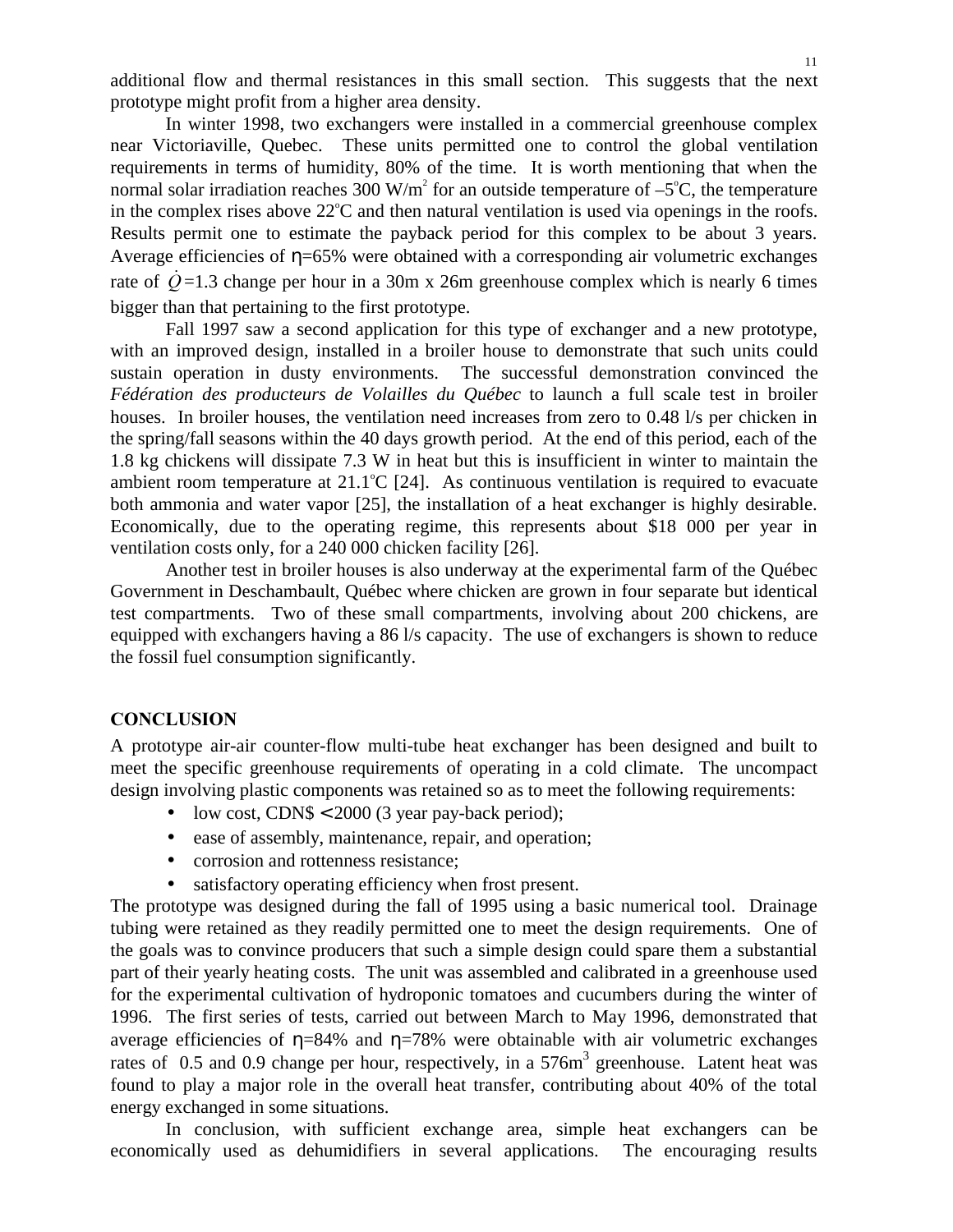additional flow and thermal resistances in this small section. This suggests that the next prototype might profit from a higher area density.

In winter 1998, two exchangers were installed in a commercial greenhouse complex near Victoriaville, Quebec. These units permitted one to control the global ventilation requirements in terms of humidity, 80% of the time. It is worth mentioning that when the normal solar irradiation reaches 300 W/m<sup>2</sup> for an outside temperature of  $-5^{\circ}$ C, the temperature in the complex rises above  $22^{\circ}$ C and then natural ventilation is used via openings in the roofs. Results permit one to estimate the payback period for this complex to be about 3 years. Average efficiencies of  $\eta$ =65% were obtained with a corresponding air volumetric exchanges rate of  $\dot{Q}$ =1.3 change per hour in a 30m x 26m greenhouse complex which is nearly 6 times bigger than that pertaining to the first prototype.

Fall 1997 saw a second application for this type of exchanger and a new prototype, with an improved design, installed in a broiler house to demonstrate that such units could sustain operation in dusty environments. The successful demonstration convinced the *Fédération des producteurs de Volailles du Québec* to launch a full scale test in broiler houses. In broiler houses, the ventilation need increases from zero to 0.48 l/s per chicken in the spring/fall seasons within the 40 days growth period. At the end of this period, each of the 1.8 kg chickens will dissipate 7.3 W in heat but this is insufficient in winter to maintain the ambient room temperature at  $21.1^{\circ}C$  [24]. As continuous ventilation is required to evacuate both ammonia and water vapor [25], the installation of a heat exchanger is highly desirable. Economically, due to the operating regime, this represents about \$18 000 per year in ventilation costs only, for a 240 000 chicken facility [26].

Another test in broiler houses is also underway at the experimental farm of the Québec Government in Deschambault, Québec where chicken are grown in four separate but identical test compartments. Two of these small compartments, involving about 200 chickens, are equipped with exchangers having a 86 l/s capacity. The use of exchangers is shown to reduce the fossil fuel consumption significantly.

#### **CONCLUSION**

A prototype air-air counter-flow multi-tube heat exchanger has been designed and built to meet the specific greenhouse requirements of operating in a cold climate. The uncompact design involving plastic components was retained so as to meet the following requirements:

- low cost, CDN\$  $< 2000$  (3 year pay-back period);
- ease of assembly, maintenance, repair, and operation;
- corrosion and rottenness resistance;
- satisfactory operating efficiency when frost present.

The prototype was designed during the fall of 1995 using a basic numerical tool. Drainage tubing were retained as they readily permitted one to meet the design requirements. One of the goals was to convince producers that such a simple design could spare them a substantial part of their yearly heating costs. The unit was assembled and calibrated in a greenhouse used for the experimental cultivation of hydroponic tomatoes and cucumbers during the winter of 1996. The first series of tests, carried out between March to May 1996, demonstrated that average efficiencies of  $\eta = 84\%$  and  $\eta = 78\%$  were obtainable with air volumetric exchanges rates of 0.5 and 0.9 change per hour, respectively, in a 576m<sup>3</sup> greenhouse. Latent heat was found to play a major role in the overall heat transfer, contributing about 40% of the total energy exchanged in some situations.

In conclusion, with sufficient exchange area, simple heat exchangers can be economically used as dehumidifiers in several applications. The encouraging results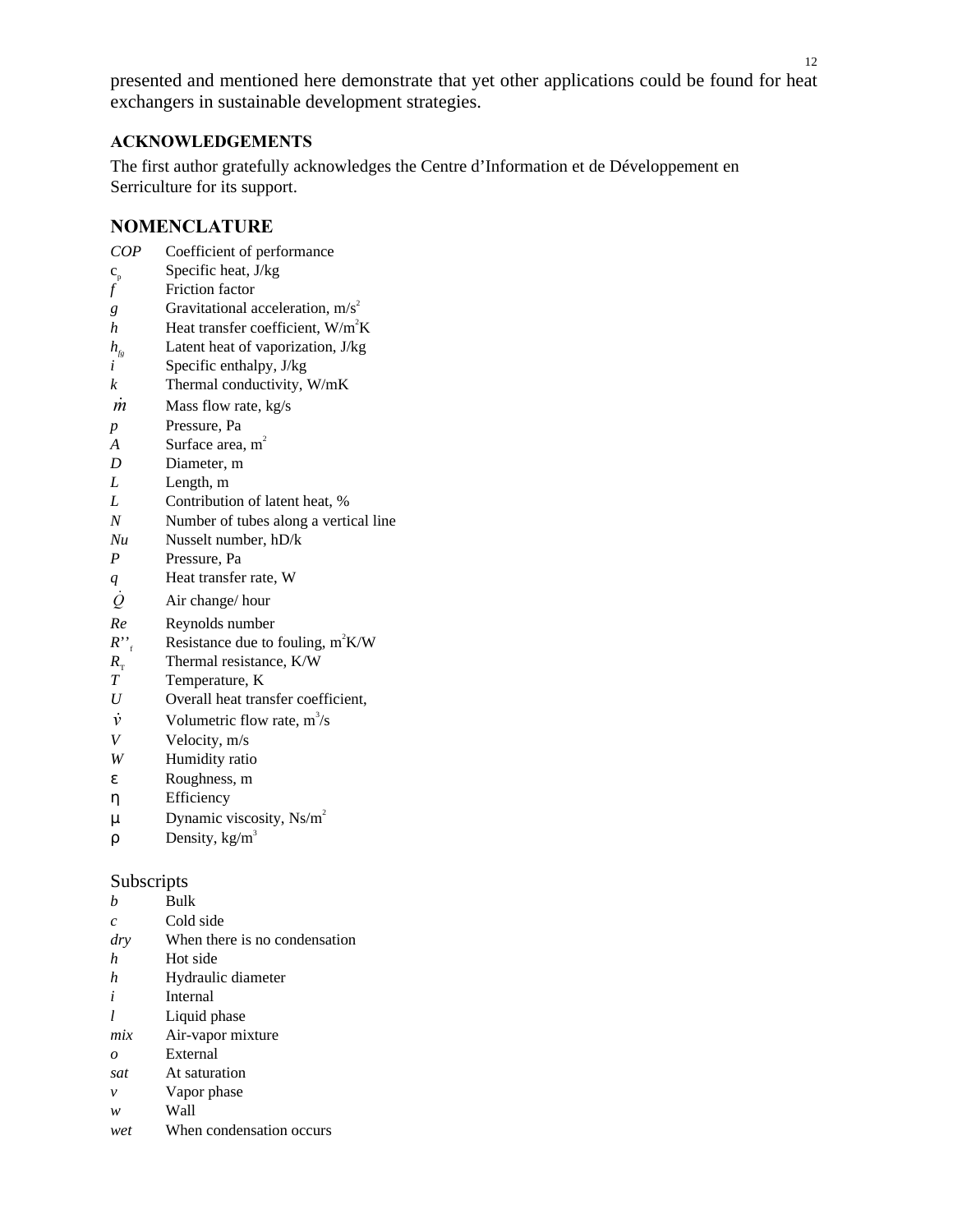presented and mentioned here demonstrate that yet other applications could be found for heat exchangers in sustainable development strategies.

### $ACKNOWLEDGEMENTS$

The first author gratefully acknowledges the Centre d'Information et de Développement en Serriculture for its support.

### **NOMENCLATURE**

| COP | Coefficient of performance |
|-----|----------------------------|
|-----|----------------------------|

- $c_p$  Specific heat, J/kg<br>*f* Friction factor
- *f* Friction factor
- *g* Gravitational acceleration,  $m/s^2$
- *h* Heat transfer coefficient,  $W/m^2K$
- *h<sub>fg</sub>* Latent heat of vaporization, J/kg
- *i* Specific enthalpy, J/kg
- *k* Thermal conductivity, W/mK
- $\dot{m}$  Mass flow rate, kg/s
- *p* Pressure, Pa
- *A* Surface area, m<sup>2</sup>
- *D* Diameter, m
- *L* Length, m
- *L* Contribution of latent heat, %
- *N* Number of tubes along a vertical line
- *Nu* Nusselt number, hD/k
- *P* Pressure, Pa
- *q* Heat transfer rate, W
- $\dot{Q}$  Air change/ hour
- *Re* Reynolds number
- $R''_{f}$  Resistance due to fouling, m<sup>2</sup>K/W
- $R_{\text{T}}$  Thermal resistance, K/W<br>*T* Temperature, K
- *T* Temperature, K
- *U* Overall heat transfer coefficient,
- $\dot{v}$  Volumetric flow rate, m<sup>3</sup>/s
- *V* Velocity, m/s
- *W* Humidity ratio
- ε Roughness, m
- η Efficiency
- $\mu$  Dynamic viscosity, Ns/m<sup>2</sup>
- $ρ$  Density, kg/m<sup>3</sup>

### Subscripts

- *b* Bulk *c* Cold side *dry* When there is no condensation *h* Hot side *h* Hydraulic diameter *i* Internal *l* Liquid phase *mix* Air-vapor mixture *o* External *sat* At saturation *v* Vapor phase
- *w* Wall
- *wet* When condensation occurs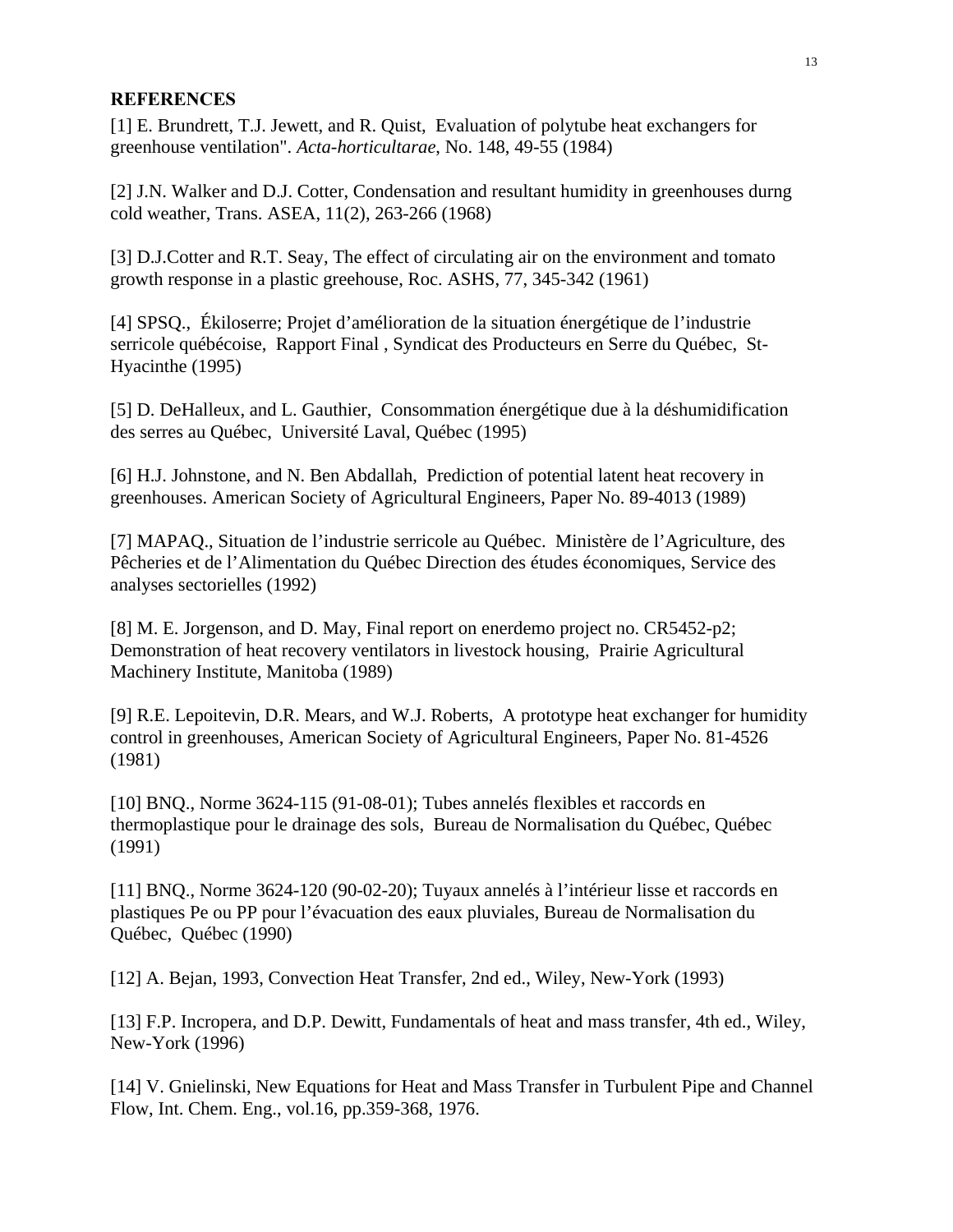#### **REFERENCES**

[1] E. Brundrett, T.J. Jewett, and R. Quist, Evaluation of polytube heat exchangers for greenhouse ventilation". *Acta-horticultarae*, No. 148, 49-55 (1984)

[2] J.N. Walker and D.J. Cotter, Condensation and resultant humidity in greenhouses durng cold weather, Trans. ASEA, 11(2), 263-266 (1968)

[3] D.J.Cotter and R.T. Seay, The effect of circulating air on the environment and tomato growth response in a plastic greehouse, Roc. ASHS, 77, 345-342 (1961)

[4] SPSQ., Ékiloserre; Projet d'amélioration de la situation énergétique de l'industrie serricole québécoise, Rapport Final , Syndicat des Producteurs en Serre du Québec, St-Hyacinthe (1995)

[5] D. DeHalleux, and L. Gauthier, Consommation énergétique due à la déshumidification des serres au Québec, Université Laval, Québec (1995)

[6] H.J. Johnstone, and N. Ben Abdallah, Prediction of potential latent heat recovery in greenhouses. American Society of Agricultural Engineers, Paper No. 89-4013 (1989)

[7] MAPAQ., Situation de l'industrie serricole au Québec. Ministère de l'Agriculture, des Pêcheries et de l'Alimentation du Québec Direction des études économiques, Service des analyses sectorielles (1992)

[8] M. E. Jorgenson, and D. May, Final report on enerdemo project no. CR5452-p2; Demonstration of heat recovery ventilators in livestock housing, Prairie Agricultural Machinery Institute, Manitoba (1989)

[9] R.E. Lepoitevin, D.R. Mears, and W.J. Roberts, A prototype heat exchanger for humidity control in greenhouses, American Society of Agricultural Engineers, Paper No. 81-4526 (1981)

[10] BNQ., Norme 3624-115 (91-08-01); Tubes annelés flexibles et raccords en thermoplastique pour le drainage des sols, Bureau de Normalisation du Québec, Québec (1991)

[11] BNQ., Norme 3624-120 (90-02-20); Tuyaux annelés à l'intérieur lisse et raccords en plastiques Pe ou PP pour l'évacuation des eaux pluviales, Bureau de Normalisation du Québec, Québec (1990)

[12] A. Bejan, 1993, Convection Heat Transfer, 2nd ed., Wiley, New-York (1993)

[13] F.P. Incropera, and D.P. Dewitt, Fundamentals of heat and mass transfer, 4th ed., Wiley, New-York (1996)

[14] V. Gnielinski, New Equations for Heat and Mass Transfer in Turbulent Pipe and Channel Flow, Int. Chem. Eng., vol.16, pp.359-368, 1976.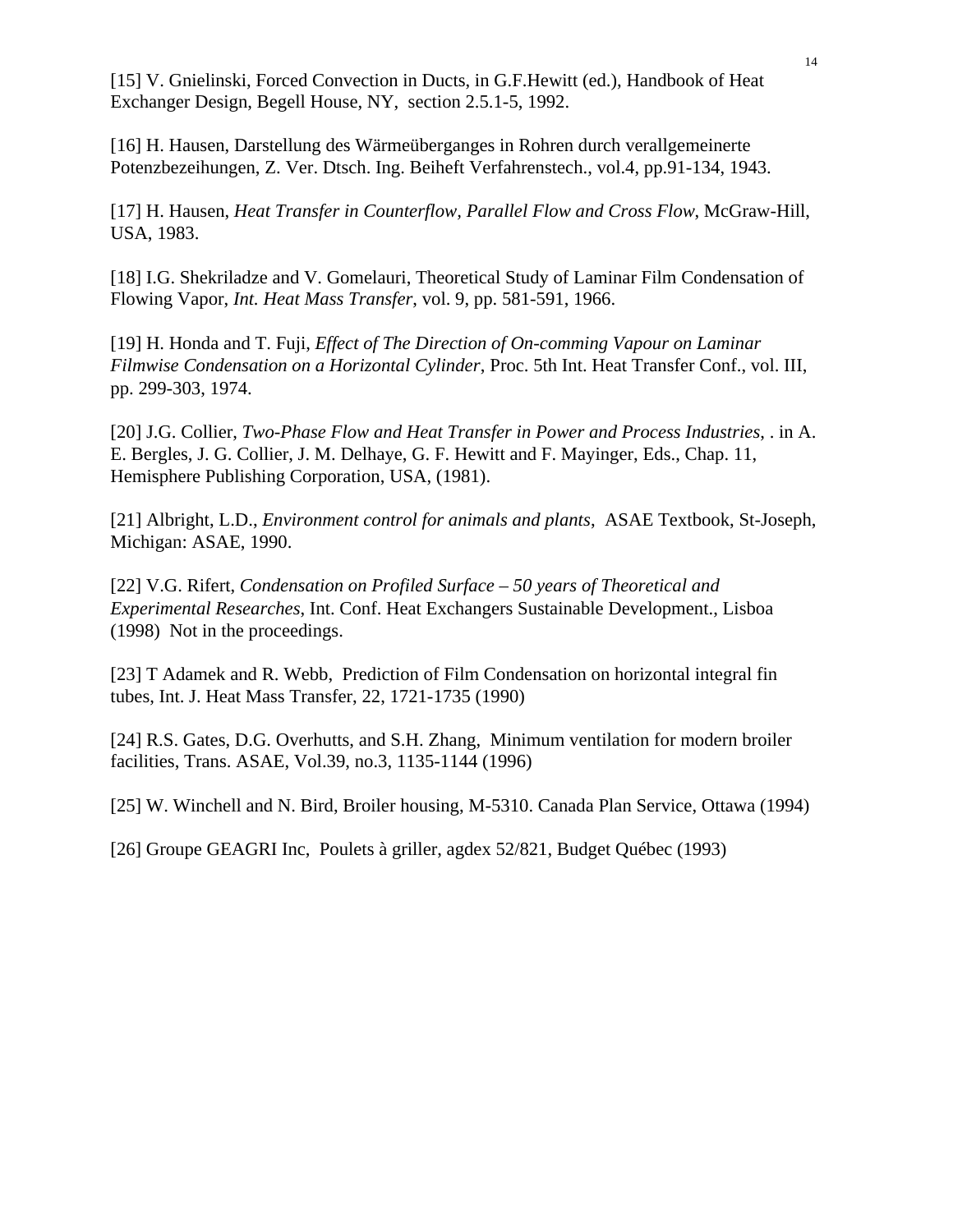[15] V. Gnielinski, Forced Convection in Ducts, in G.F.Hewitt (ed.), Handbook of Heat Exchanger Design, Begell House, NY, section 2.5.1-5, 1992.

[16] H. Hausen, Darstellung des Wärmeüberganges in Rohren durch verallgemeinerte Potenzbezeihungen, Z. Ver. Dtsch. Ing. Beiheft Verfahrenstech., vol.4, pp.91-134, 1943.

[17] H. Hausen, *Heat Transfer in Counterflow, Parallel Flow and Cross Flow*, McGraw-Hill, USA, 1983.

[18] I.G. Shekriladze and V. Gomelauri, Theoretical Study of Laminar Film Condensation of Flowing Vapor, *Int. Heat Mass Transfer*, vol. 9, pp. 581-591, 1966.

[19] H. Honda and T. Fuji, *Effect of The Direction of On-comming Vapour on Laminar Filmwise Condensation on a Horizontal Cylinder*, Proc. 5th Int. Heat Transfer Conf., vol. III, pp. 299-303, 1974.

[20] J.G. Collier, *Two-Phase Flow and Heat Transfer in Power and Process Industries*, . in A. E. Bergles, J. G. Collier, J. M. Delhaye, G. F. Hewitt and F. Mayinger, Eds., Chap. 11, Hemisphere Publishing Corporation, USA, (1981).

[21] Albright, L.D., *Environment control for animals and plants*, ASAE Textbook, St-Joseph, Michigan: ASAE, 1990.

[22] V.G. Rifert, *Condensation on Profiled Surface – 50 years of Theoretical and Experimental Researches*, Int. Conf. Heat Exchangers Sustainable Development., Lisboa (1998) Not in the proceedings.

[23] T Adamek and R. Webb, Prediction of Film Condensation on horizontal integral fin tubes, Int. J. Heat Mass Transfer, 22, 1721-1735 (1990)

[24] R.S. Gates, D.G. Overhutts, and S.H. Zhang, Minimum ventilation for modern broiler facilities, Trans. ASAE, Vol.39, no.3, 1135-1144 (1996)

[25] W. Winchell and N. Bird, Broiler housing, M-5310. Canada Plan Service, Ottawa (1994)

[26] Groupe GEAGRI Inc, Poulets à griller, agdex 52/821, Budget Québec (1993)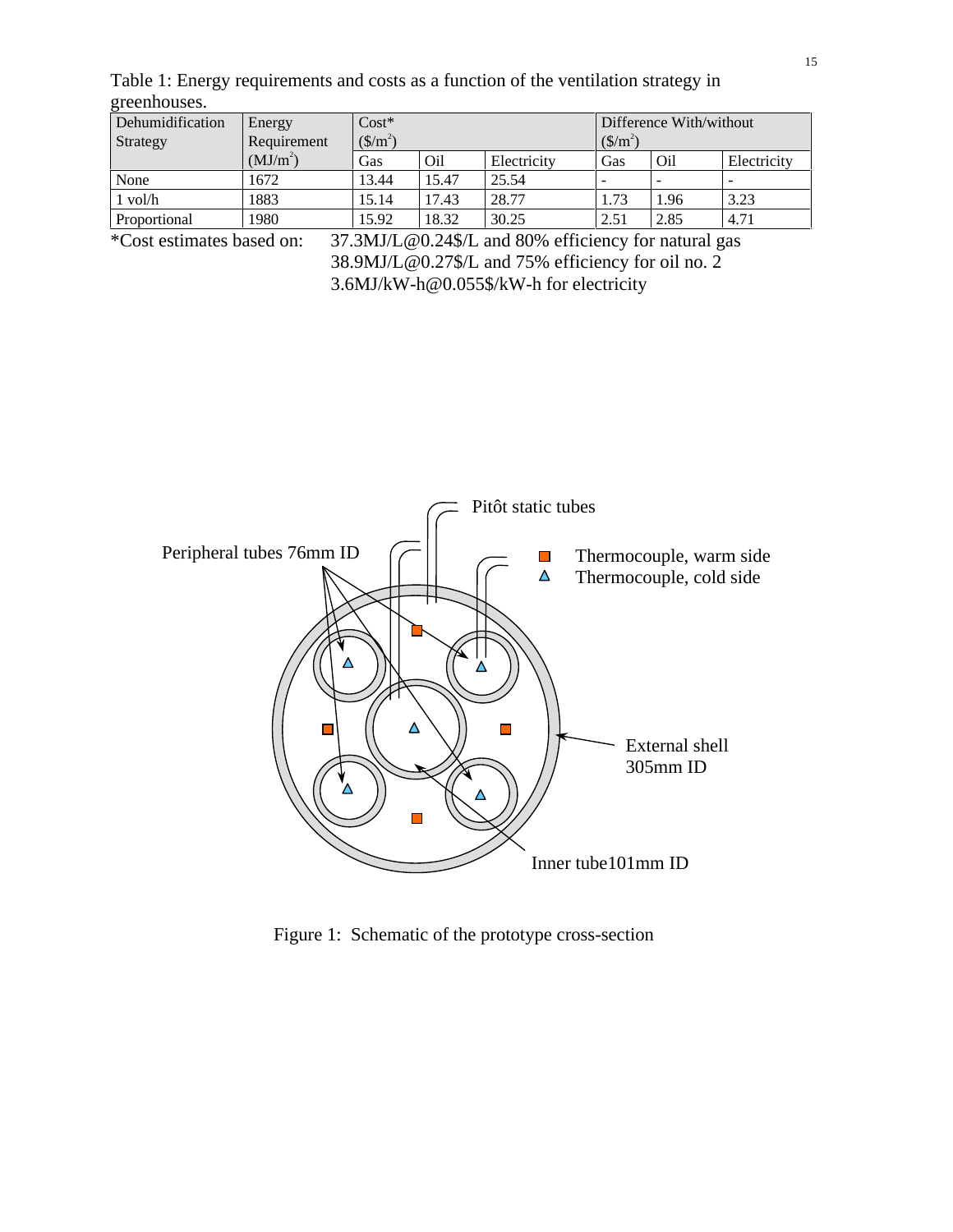Table 1: Energy requirements and costs as a function of the ventilation strategy in greenhouses.

| Dehumidification<br>Strategy | Energy<br>Requirement | $Cost*$<br>$(\frac{\text{S}}{m^2})$ |       |             | Difference With/without<br>$(\frac{\text{S}}{\text{m}^2})$ |      |                          |
|------------------------------|-----------------------|-------------------------------------|-------|-------------|------------------------------------------------------------|------|--------------------------|
|                              | (MJ/m <sup>2</sup> )  | Gas                                 | Oil   | Electricity | Gas                                                        | Oil  | Electricity              |
| None                         | 1672                  | 13.44                               | 15.47 | 25.54       | -                                                          |      | $\overline{\phantom{a}}$ |
| $1$ vol/ $h$                 | 1883                  | 15.14                               | 17.43 | 28.77       | 1.73                                                       | 1.96 | 3.23                     |
| Proportional                 | 1980                  | 15.92                               | 18.32 | 30.25       | 2.51                                                       | 2.85 | 4.71                     |

\*Cost estimates based on: 37.3MJ/L@0.24\$/L and 80% efficiency for natural gas 38.9MJ/L@0.27\$/L and 75% efficiency for oil no. 2 3.6MJ/kW-h@0.055\$/kW-h for electricity



Figure 1: Schematic of the prototype cross-section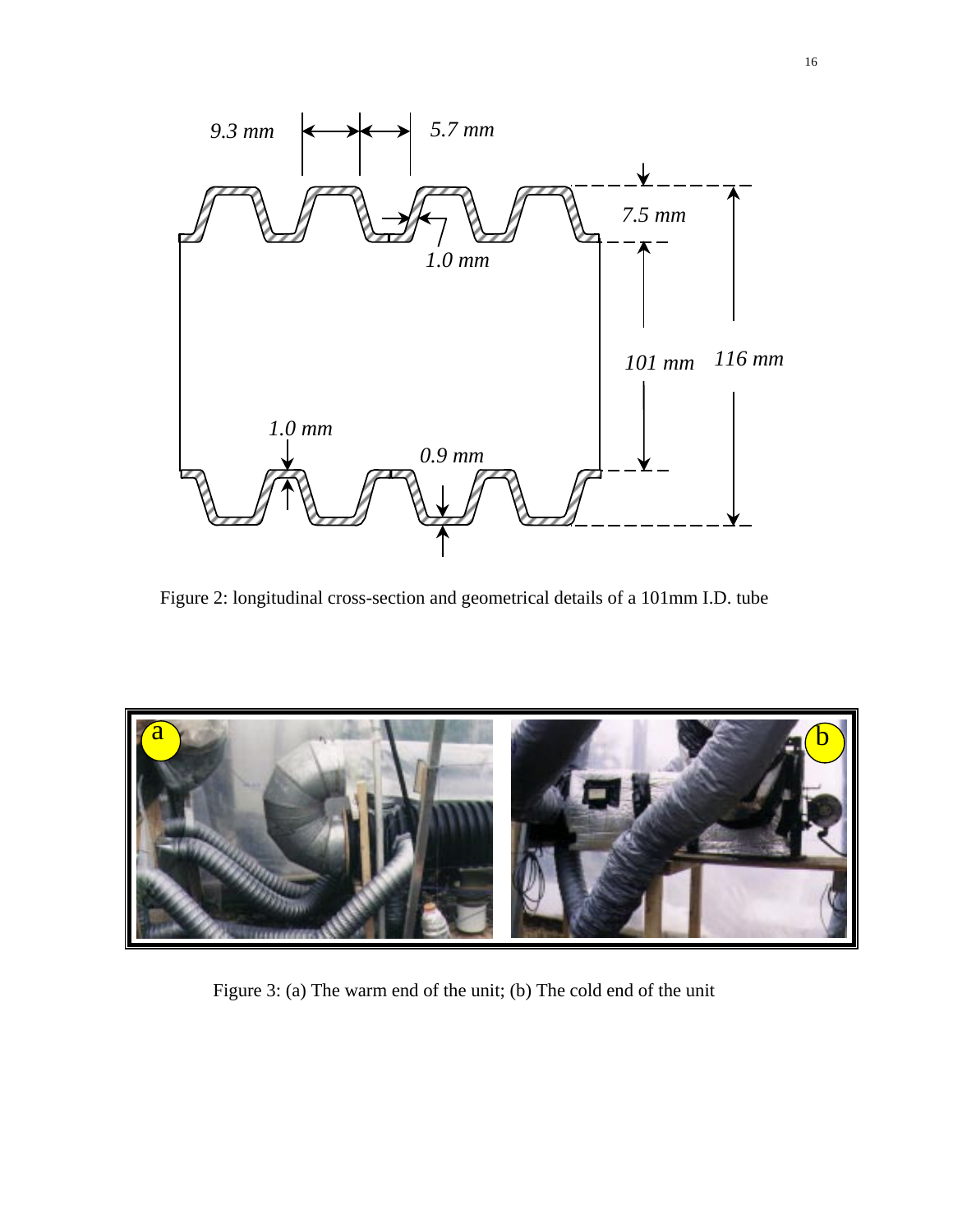

Figure 2: longitudinal cross-section and geometrical details of a 101mm I.D. tube



Figure 3: (a) The warm end of the unit; (b) The cold end of the unit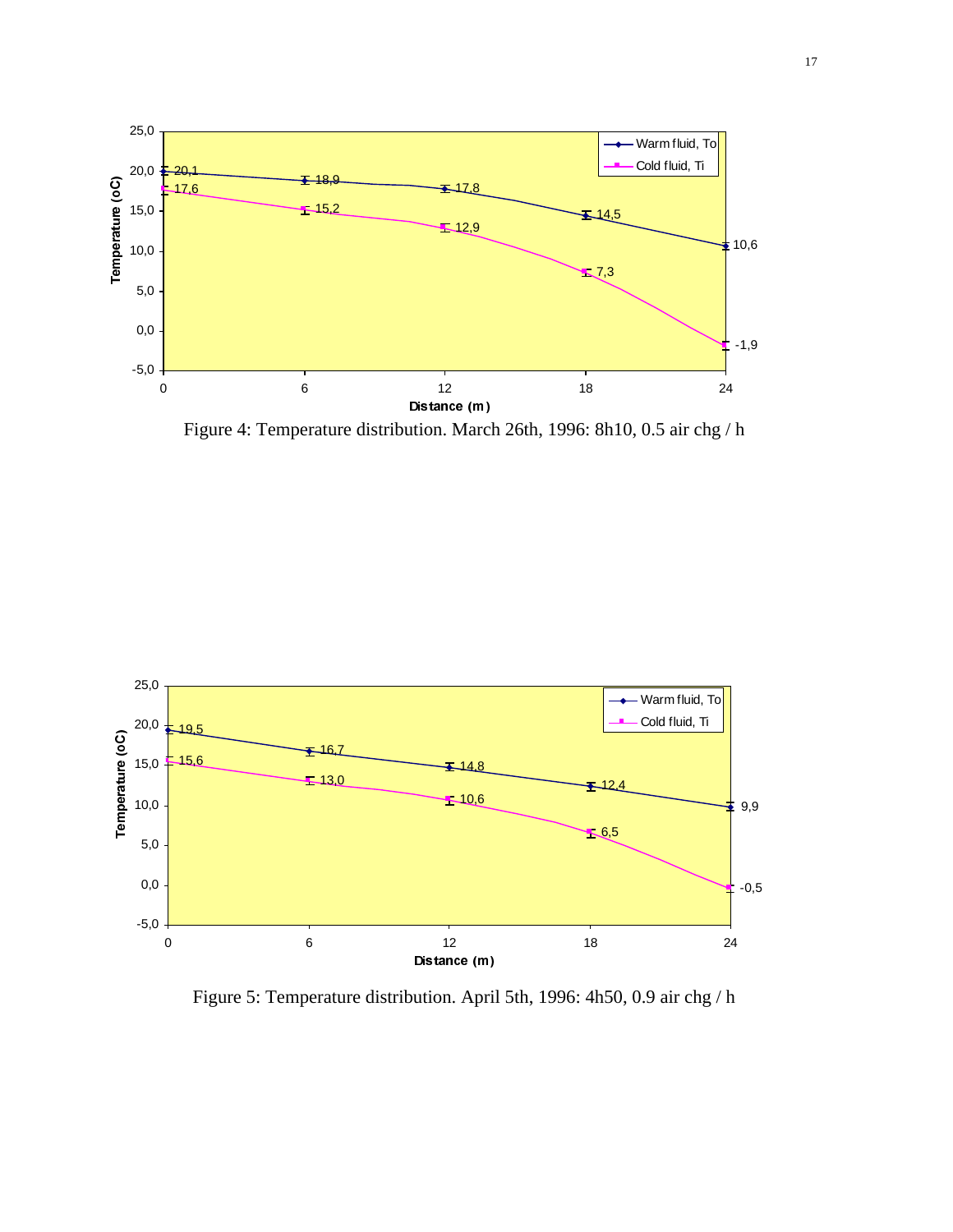

Figure 4: Temperature distribution. March 26th, 1996: 8h10, 0.5 air chg / h



Figure 5: Temperature distribution. April 5th, 1996: 4h50, 0.9 air chg / h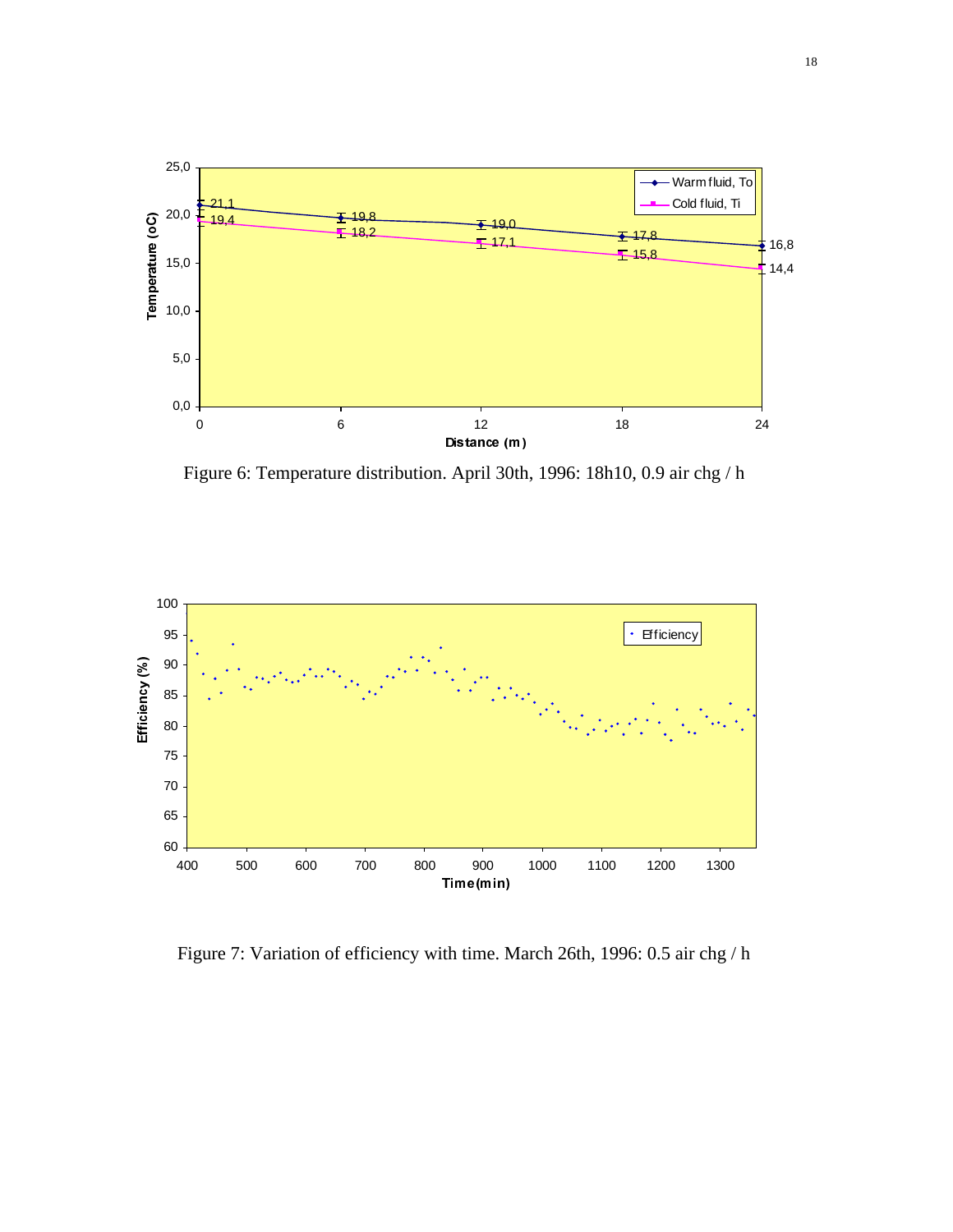

Figure 6: Temperature distribution. April 30th, 1996: 18h10, 0.9 air chg / h



Figure 7: Variation of efficiency with time. March 26th, 1996: 0.5 air chg / h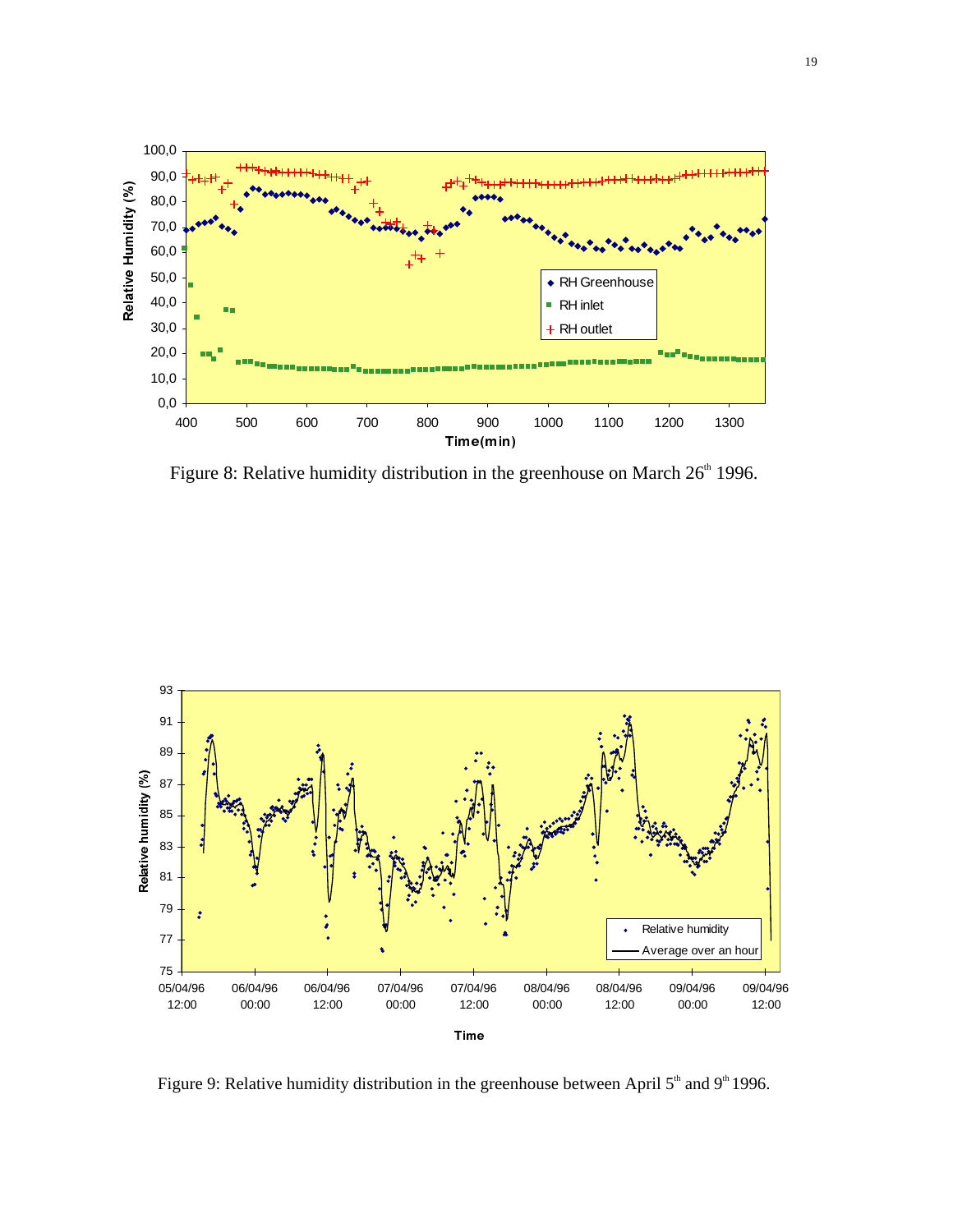

Figure 8: Relative humidity distribution in the greenhouse on March  $26<sup>th</sup>$  1996.



Figure 9: Relative humidity distribution in the greenhouse between April  $5<sup>th</sup>$  and 9<sup>th</sup> 1996.